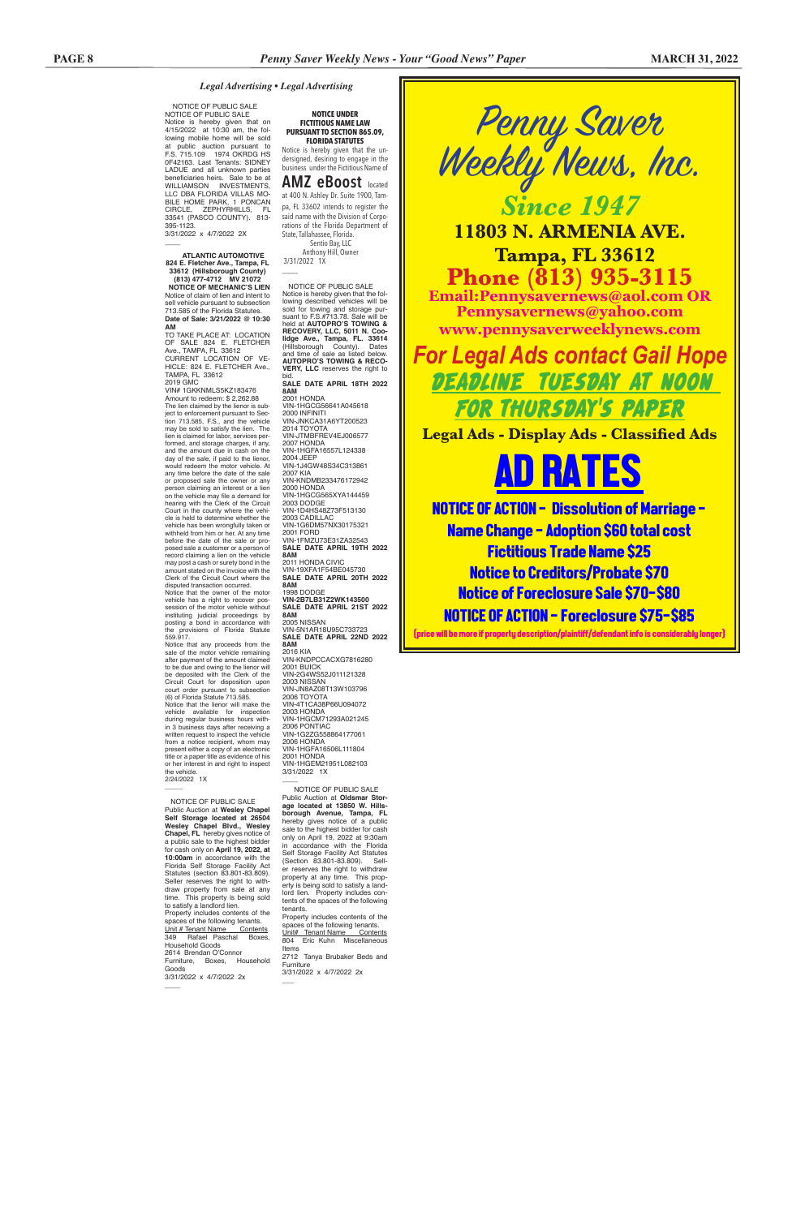Penny Saver Weekly News, Inc. *Since 1947*

**11803 N. ARMENIA AVE. Tampa, FL 33612 Phone (813) 935-3115 Email:Pennysavernews@aol.com OR Pennysavernews@yahoo.com www.pennysaverweeklynews.com**

*For Legal Ads contact Gail Hope* DEADLINE TUESDAY AT NOON FOR THURSDAY'S PAPER

**Legal Ads - Display Ads - Classified Ads**

AD RATES

NOTICE OF ACTION - Dissolution of Marriage - Name Change - Adoption \$60 total cost Fictitious Trade Name \$25 Notice to Creditors/Probate \$70 Notice of Foreclosure Sale \$70-\$80 NOTICE OF ACTION - Foreclosure \$75-\$85

3/31/2022 x 4/7/2022 2X  $\overline{\phantom{a}}$ 

(price will be more if property description/plaintiff/defendant info is considerably longer)

 Anthony Hill, Owner 3/31/2022 1X  $\overline{\phantom{a}}$ 

 NOTICE OF PUBLIC SALE NOTICE OF PUBLIC SALE Notice is hereby given that on 4/15/2022 at 10:30 am, the following mobile home will be sold at public auction pursuant to F.S. 715.109 1974 OKRDG HS 0F42163. Last Tenants: SIDNEY LADUE and all unknown parties beneficiaries heirs. Sale to be at WILLIAMSON INVESTMENTS, LLC DBA FLORIDA VILLAS MO-BILE HOME PARK, 1 PONCAN CIRCLE, ZEPHYRHILLS, FL 33541 (PASCO COUNTY). 813- 395-1123.

### *Legal Advertising • Legal Advertising*

**NOTICE UNDER FICTITIOUS NAME LAW PURSUANT TO SECTION 865.09, FLORIDA STATUTES**

Notice is hereby given that the undersigned, desiring to engage in the business under the Fictitious Name of

**AMZ eBoost** located at 400 N. Ashley Dr. Suite 1900, Tampa, FL 33602 intends to register the said name with the Division of Corporations of the Florida Department of State, Tallahassee, Florida. Sentio Bay, LLC

 NOTICE OF PUBLIC SALE Notice is hereby given that the fol-lowing described vehicles will be sold for towing and storage pur-suant to F.S.#713.78. Sale will be held at **AUTOPRO'S TOWING & RECOVERY, LLC, 5011 N. Coolidge Ave., Tampa, FL. 33614**<br>(Hillsborough County). Dates<br>and time of sale as listed below.<br>**AUTOPRO'S TOWING & RECO-VERY, LLC** reserves the right to

bid. **SALE DATE APRIL 18TH 2022 8AM** 2001 HONDA

VIN-1HGCG56641A045618 2000 INFINITI VIN-JNKCA31A6YT200523 2014 TOYOTA VIN-JTMBFREV4EJ006577 2007 HONDA VIN-1HGFA16557L124338 2004 JEEP VIN-1J4GW48S34C313861 2007 KIA VIN-KNDMB233476172942 2000 HONDA<br>VIN-1HGCG565XYA144459 2003 DODGE VIN-1D4HS48Z73F513130 2003 CADILLAC VIN-1G6DM57NX30175321 2001 FORD VIN-1FMZU73E31ZA32543 **SALE DATE APRIL 19TH 2022 8AM** 2011 HONDA CIVIC VIN-19XFA1F54BE045730 **SALE DATE APRIL 20TH 2022 8AM** 1998 DODGE **VIN-2B7LB31Z2WK143500 SALE DATE APRIL 21ST 2022 8AM** 2005 NISSAN

VIN-5N1AR18U95C733723 **SALE DATE APRIL 22ND 2022 8AM** 2016 KIA

 NOTICE OF PUBLIC SALE Public Auction at **Wesley Chapel Self Storage located at 26504 Wesley Chapel Blvd., Wesley Chapel, FL** hereby gives notice of a public sale to the highest bidder for cash only on **April 19, 2022, at 10:00am** in accordance with the Florida Self Storage Facility Act Statutes (section 83.801-83.809). Seller reserves the right to withdraw property from sale at any time. This property is being sold to satisfy a landlord lien. Property includes contents of the spaces of the following tenants. Unit # Tenant Name Contents 349 Rafael Paschal Boxes, Household Goods 2614 Brendan O'Connor Furniture, Boxes, Household Goods 3/31/2022 x 4/7/2022 2x  $\overline{\phantom{a}}$ (Section 83.801-83.809). tents of the spaces of the following tenants. Property includes contents of the spaces of the following tenants. Unit# Tenant Name Contents 804 Eric Kuhn Miscellaneous Items 2712 Tanya Brubaker Beds and Furniture 3/31/2022 x 4/7/2022 2x  $\overline{\phantom{a}}$ 

VIN-KNDPCCACXG7816280 2001 BUICK VIN-2G4WS52J011121328 2003 NISSAN VIN-JN8AZ08T13W103796 2006 TOYOTA VIN-4T1CA38P66U094072 2003 HONDA VIN-1HGCM71293A021245 2006 PONTIAC VIN-1G2ZG558864177061 2006 HONDA VIN-1HGFA16506L111804 2001 HONDA VIN-1HGEM21951L082103 3/31/2022 1X

 **ATLANTIC AUTOMOTIVE 824 E. Fletcher Ave., Tampa, FL 33612 (Hillsborough County)** 

**(813) 477-4712 MV 21072 NOTICE OF MECHANIC'S LIEN** Notice of claim of lien and intent to sell vehicle pursuant to subsection 713.585 of the Florida Statutes. **Date of Sale: 3/21/2022 @ 10:30 AM** 

> $\overline{\phantom{a}}$  NOTICE OF PUBLIC SALE Public Auction at **Oldsmar Storage located at 13850 W. Hillsborough Avenue, Tampa, FL** hereby gives notice of a public sale to the highest bidder for cash only on April 19, 2022 at 9:30am in accordance with the Florida Self Storage Facility Act Statutes<br>(Section 83.801-83.809) Seller reserves the right to withdraw property at any time. This property is being sold to satisfy a landlord lien. Property includes con-

TO TAKE PLACE AT: LOCATION OF SALE 824 E. FLETCHER Ave., TAMPA, FL 33612 CURRENT LOCATION OF VE-HICLE: 824 E. FLETCHER Ave., TAMPA, FL 33612

2019 GMC VIN# 1GKKNMLS5KZ183476

Amount to redeem: \$ 2,262.88 The lien claimed by the lienor is subject to enforcement pursuant to Sec-tion 713.585, F.S., and the vehicle may be sold to satisfy the lien. The lien is claimed for labor, services performed, and storage charges, if any, and the amount due in cash on the day of the sale, if paid to the lienor, would redeem the motor vehicle. At any time before the date of the sale or proposed sale the owner or any person claiming an interest or a lien on the vehicle may file a demand for hearing with the Clerk of the Circuit Court in the county where the vehicle is held to determine whether the vehicle has been wrongfully taken or withheld from him or her. At any time before the date of the sale or proposed sale a customer or a person of record claiming a lien on the vehicle may post a cash or surety bond in the amount stated on the invoice with the Clerk of the Circuit Court where the disputed transaction occurred.

Notice that the owner of the motor vehicle has a right to recover possession of the motor vehicle without instituting judicial proceedings by posting a bond in accordance with the provisions of Florida Statute 559.917.

Notice that any proceeds from the sale of the motor vehicle remaining after payment of the amount claimed to be due and owing to the lienor will be deposited with the Clerk of the Circuit Court for disposition upon court order pursuant to subsection (6) of Florida Statute 713.585.

Notice that the lienor will make the vehicle available for inspection during regular business hours within 3 business days after receiving a written request to inspect the vehicle from a notice recipient, whom may present either a copy of an electronic title or a paper title as evidence of his or her interest in and right to inspect the vehicle. 2/24/2022 1X

 $\overline{\phantom{a}}$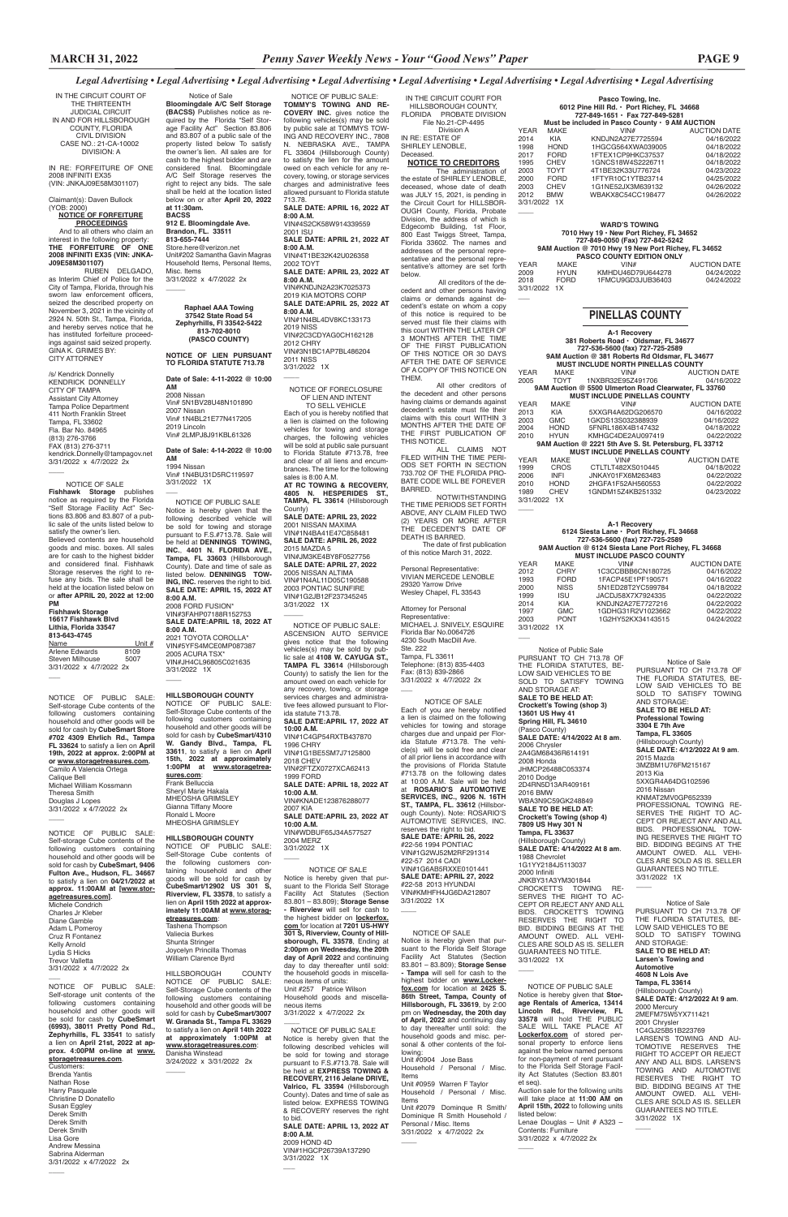|                                                       |      | Pasco Towing, Inc.              |                     |  |
|-------------------------------------------------------|------|---------------------------------|---------------------|--|
| 6012 Pine Hill Rd. · Port Richey, FL 34668            |      |                                 |                     |  |
|                                                       |      | 727-849-1651 · Fax 727-849-5281 |                     |  |
| Must be included in Pasco County $\cdot$ 9 AM AUCTION |      |                                 |                     |  |
| YEAR                                                  | MAKE | VIN#                            | <b>AUCTION DATE</b> |  |
| 2014                                                  | KIA  | KNDJN2A27E7725594               | 04/16/2022          |  |
|                                                       |      |                                 |                     |  |

| 1998 | <b>HOND</b>  | 1HGCG564XWA039005 | 04/18/2022 |
|------|--------------|-------------------|------------|
| 2017 | <b>FORD</b>  | 1FTEX1CP9HKC37537 | 04/18/2022 |
| 1995 | <b>CHEV</b>  | 1GNCS18W4S2226711 | 04/18/2022 |
| 2003 | TOYT         | 4T1BE32K33U776724 | 04/23/2022 |
| 2000 | <b>FORD</b>  | 1FTYR10C1YTB23714 | 04/25/2022 |
| 2003 | <b>CHEV</b>  | 1G1NE52JX3M639132 | 04/26/2022 |
| 2012 | <b>BMW</b>   | WBAKX8C54CC198477 | 04/26/2022 |
|      | 3/31/2022 1X |                   |            |

|                                  |             | <b>WARD'S TOWING</b>                                |                     |  |  |
|----------------------------------|-------------|-----------------------------------------------------|---------------------|--|--|
|                                  |             | 7010 Hwy 19 . New Port Richey, FL 34652             |                     |  |  |
|                                  |             | 727-849-0050 (Fax) 727-842-5242                     |                     |  |  |
|                                  |             | 9AM Auction @ 7010 Hwy 19 New Port Richey, FL 34652 |                     |  |  |
| <b>PASCO COUNTY EDITION ONLY</b> |             |                                                     |                     |  |  |
| YEAR                             | MAKE        | VIN#                                                | <b>AUCTION DATE</b> |  |  |
| 2009                             | <b>HYUN</b> | KMHDU46D79U644278                                   | 04/24/2022          |  |  |
| 2018                             | <b>FORD</b> | 1FMCU9GD3JUB36403                                   | 04/24/2022          |  |  |
| 3/31/2022 1X                     |             |                                                     |                     |  |  |
|                                  |             |                                                     |                     |  |  |

SOLD TO SATISFY TOWING AND STORAGE AT: **SALE TO BE HELD AT: Crockett's Towing (shop 3) 13601 US Hwy 41 Spring Hill, FL 34610** (Pasco County) **SALE DATE: 4/14/2022 At 8 am**. 2006 Chrysler 2A4GM68436R614191 2008 Honda JHMCP26488C053374 2010 Dodge 2D4RN5D13AR409161 2016 BMW WBA3N9C59GK248849 **SALE TO BE HELD AT: Crockett's Towing (shop 4) 7809 US Hwy 301 N Tampa, FL 33637** (Hillsborough County) **SALE DATE: 4/14/2022 At 8 am**. 1988 Chevrolet 1G1YY2184J5113037 2000 Infiniti JNKBY31A3YM301844 CROCKETT'S TOWING RE-SERVES THE RIGHT TO AC-CEPT OR REJECT ANY AND ALL BIDS. CROCKETT'S TOWING RESERVES THE RIGHT TO BID. BIDDING BEGINS AT THE AMOUNT OWED. ALL VEHI-CLES ARE SOLD AS IS. SELLER GUARANTEES NO TITLE. 3/31/2022 1X  $\overline{\phantom{a}}$ 

## **PINELLAS COUNTY**

IN THE CIRCUIT COURT FOR HILLSBOROUGH COUNTY, FLORIDA PROBATE DIVISION File No.21-CP-4495 Division A IN RE: ESTATE OF SHIRLEY LENOBLE, **Deceased** 

MICHAEL J. SNIVELY, ESQUIRE Florida Bar No.0064726 4230 South MacDill Ave. Ste. 222 Tampa, FL 33611 Telephone: (813) 835-4403 Fax: (813) 839-2866 3/31/2022 x 4/7/2022 2x  $\overline{\phantom{a}}$ 

THE FLORIDA STATUTES, BE-LOW SAID VEHICLES TO BE SOLD TO SATISFY TOWING AND STORAGE: **SALE TO BE HELD AT: Professional Towing 3304 E 7th Ave Tampa, FL 33605** (Hillsborough County) **SALE DATE: 4/12/2022 At 9 am**. 2015 Mazda 3MZBM1U76FM215167 2013 Kia 5XXGR4A64DG102596 2016 Nissan KNMAT2MV0GP652339 PROFESSIONAL TOWING RE-SERVES THE RIGHT TO AC-CEPT OR REJECT ANY AND ALL BIDS. PROFESSIONAL TOW-ING RESERVES THE RIGHT TO BID. BIDDING BEGINS AT THE AMOUNT OWED. ALL VEHI-CLES ARE SOLD AS IS. SELLER GUARANTEES NO TITLE. 3/31/2022 1X

 $\overline{\phantom{a}}$ 

NOTICE OF SALE Each of you are hereby notified a lien is claimed on the following vehicles for towing and storage charges due and unpaid per Florida Statute #713.78. The vehicle(s) will be sold free and clear of all prior liens in accordance with the provisions of Florida Statute #713.78 on the following dates at 10:00 A.M. Sale will be held at **ROSARIO'S AUTOMOTIVE SERVICES, INC., 9206 N. 16TH ST., TAMPA, FL. 33612** (Hillsborough County). Note: ROSARIO'S AUTOMOTIVE SERVICES, INC. reserves the right to bid. **SALE DATE: APRIL 26, 2022** #22-56 1994 PONTIAC VIN#1G2WJ52M2RF291314 #22-57 2014 CADI VIN#1G6AB5RXXE0101441 **SALE DATE: APRIL 27, 2022** #22-58 2013 HYUNDAI VIN#KMHFH4JG6DA212

> Notice of Sale PURSUANT TO CH 713.78 OF THE FLORIDA STATUTES, BE-LOW SAID VEHICLES TO BE SOLD TO SATISFY TOWING AND STORAGE: **SALE TO BE HELD AT: Larsen's Towing and Automotive 4608 N Lois Ave Tampa, FL 33614** (Hillsborough County) **SALE DATE: 4/12/2022 At 9 am**. 2000 Mercury 2MEFM75W5YX711421 2001 Chrysler 1C4GJ25B51B223769 LARSEN'S TOWING AND AU-TOMOTIVE RESERVES THE RIGHT TO ACCEPT OR REJECT ANY AND ALL BIDS. LARSEN'S TOWING AND AUTOMOTIVE RESERVES THE RIGHT TO BID. BIDDING BEGINS AT THE AMOUNT OWED. ALL VEHI-CLES ARE SOLD AS IS. SELLER GUARANTEES NO TITLE. 3/31/2022 1X

 $\overline{\phantom{a}}$ 

| A-1 Recovery<br>381 Roberts Road · Oldsmar, FL 34677 |                       |                                                        |                          |  |  |  |
|------------------------------------------------------|-----------------------|--------------------------------------------------------|--------------------------|--|--|--|
|                                                      |                       | 727-536-5600 (fax) 727-725-2589                        |                          |  |  |  |
| 9AM Auction @ 381 Roberts Rd Oldsmar, FL 34677       |                       |                                                        |                          |  |  |  |
| <b>MUST INCLUDE NORTH PINELLAS COUNTY</b>            |                       |                                                        |                          |  |  |  |
| YEAR                                                 | MAKE                  | VIN#                                                   | <b>AUCTION DATE</b>      |  |  |  |
| 2005                                                 | TOYT                  | 1NXBR32E95Z491706                                      | 04/16/2022               |  |  |  |
|                                                      |                       | 9AM Auction @ 5500 Ulmerton Road Clearwater, FL 33760  |                          |  |  |  |
|                                                      |                       | <b>MUST INCLUDE PINELLAS COUNTY</b>                    |                          |  |  |  |
| YEAR                                                 | <b>MAKE</b>           | VIN#                                                   | <b>AUCTION DATE</b>      |  |  |  |
| 2013                                                 | KIA                   | 5XXGR4A62DG206570                                      | 04/16/2022               |  |  |  |
| 2003                                                 | <b>GMC</b>            | 1GKDS13S032388939                                      | 04/16/2022               |  |  |  |
| 2004                                                 | HOND                  | 5FNRL186X4B147432                                      | 04/18/2022               |  |  |  |
| 2010                                                 | <b>HYUN</b>           | KMHGC4DE2AU097419                                      | 04/22/2022               |  |  |  |
|                                                      |                       | 9AM Auction @ 2221 5th Ave S. St. Petersburg, FL 33712 |                          |  |  |  |
|                                                      |                       | <b>MUST INCLUDE PINELLAS COUNTY</b>                    |                          |  |  |  |
| YEAR                                                 | MAKE                  | VIN#                                                   | <b>AUCTION DATE</b>      |  |  |  |
| 1999                                                 | CROS<br><b>INFI</b>   | CTLTLT482XS010445<br>JNKAY01FX6M263483                 | 04/18/2022               |  |  |  |
| 2006<br>2010                                         | HOND                  | 2HGFA1F52AH560553                                      | 04/22/2022<br>04/22/2022 |  |  |  |
| 1989                                                 | <b>CHEV</b>           | 1GNDM15Z4KB251332                                      | 04/23/2022               |  |  |  |
| 3/31/2022 1X                                         |                       |                                                        |                          |  |  |  |
|                                                      |                       |                                                        |                          |  |  |  |
|                                                      |                       |                                                        |                          |  |  |  |
|                                                      |                       | A-1 Recovery                                           |                          |  |  |  |
|                                                      |                       | 6124 Siesta Lane · Port Richey, FL 34668               |                          |  |  |  |
|                                                      |                       | 727-536-5600 (fax) 727-725-2589                        |                          |  |  |  |
|                                                      |                       | 9AM Auction @ 6124 Siesta Lane Port Richey, FL 34668   |                          |  |  |  |
|                                                      |                       | <b>MUST INCLUDE PASCO COUNTY</b>                       |                          |  |  |  |
| YEAR                                                 | MAKE                  | VIN#                                                   | <b>AUCTION DATE</b>      |  |  |  |
| 2012                                                 | CHRY                  | 1C3CCBBB6CN180725                                      | 04/16/2022               |  |  |  |
| 1993                                                 | FORD                  | 1FACP45E1PF190571                                      | 04/16/2022               |  |  |  |
| 2000                                                 | <b>NISS</b>           | 5N1ED28T2YC599784                                      | 04/18/2022               |  |  |  |
| 1999                                                 | <b>ISU</b>            | JACDJ58X7X7924335                                      | 04/22/2022               |  |  |  |
| 2014                                                 | KIA<br>GMC            | KNDJN2A27E7727216                                      | 04/22/2022<br>04/22/2022 |  |  |  |
| 1997                                                 | PONT                  | 1GDHG31R2V1023662<br>1G2HY52KX34143515                 | 04/24/2022               |  |  |  |
| 2003<br>3/31/2022 1X                                 |                       |                                                        |                          |  |  |  |
|                                                      |                       |                                                        |                          |  |  |  |
|                                                      |                       |                                                        |                          |  |  |  |
|                                                      | Notice of Public Sale |                                                        |                          |  |  |  |
| PURSUANT TO CH 713.78 OF                             |                       |                                                        |                          |  |  |  |
| Notice of Sale<br>THE FLORIDA STATUTES. BE-          |                       |                                                        |                          |  |  |  |
| PURSUANT TO CH 713.78 OF<br>LOW SAID VEHICLES TO BE  |                       |                                                        |                          |  |  |  |
| THE FLORIDA STATUTES, BE-<br>COLD TO CATIOFY TOMINIO |                       |                                                        |                          |  |  |  |

### **NOTICE TO CREDITORS**

The administration of the estate of SHIRLEY LENOBLE, deceased, whose date of death was JULY 15, 2021, is pending in the Circuit Court for HILLSBOR-OUGH County, Florida, Probate Division, the address of which is Edgecomb Building, 1st Floor, 800 East Twiggs Street, Tampa, Florida 33602. The names and addresses of the personal representative and the personal representative's attorney are set forth below.

#### NOTICE OF PUBLIC SALE: ASCENSION AUTO SERVICE gives notice that the following vehicles(s) may be sold by pub-lic sale at **4108 W. CAYUGA ST., TAMPA FL 33614** (Hillsborough County) to satisfy the lien for the amount owed on each vehicle for any recovery, towing, or storage services charges and administrative fees allowed pursuant to Florida statute 713.78. **SALE DATE:APRIL 17, 2022 AT 10:00 A.M.** VIN#1C4GP54RXTB437870 1996 CHRY VIN#1G1BE5SM7J7125800 2018 CHEV VIN#2FTZX0727XCA62413 1999 FORD **SALE DATE: APRIL 18, 2022 AT 10:00 A.M.** VIN#KNADE123876288077 2007 KIA **SALE DATE:APRIL 23, 2022 AT 10:00 A.M.** VIN#WDBUF65J34A577527 2004 MERZ 3/31/2022 1X  $\overline{\phantom{a}}$

 All creditors of the decedent and other persons having claims or demands against decedent's estate on whom a copy of this notice is required to be served must file their claims with this court WITHIN THE LATER OF 3 MONTHS AFTER THE TIME OF THE FIRST PUBLICATION OF THIS NOTICE OR 30 DAYS AFTER THE DATE OF SERVICE OF A COPY OF THIS NOTICE ON THEM.

All other creditors of the decedent and other persons having claims or demands against decedent's estate must file their claims with this court WITHIN 3 MONTHS AFTER THE DATE OF THE FIRST PUBLICATION OF THIS NOTICE.

ALL CLAIMS NOT FILED WITHIN THE TIME PERI-ODS SET FORTH IN SECTION 733.702 OF THE FLORIDA PRO-BATE CODE WILL BE FOREVER BARRED. NOTWITHSTANDING

THE TIME PERIODS SET FORTH ABOVE, ANY CLAIM FILED TWO (2) YEARS OR MORE AFTER THE DECEDENT'S DATE OF DEATH IS BARRED. The date of first publication of this notice March 31, 2022.

Personal Representative: VIVIAN MERCEDE LENOBLE 29320 Yarrow Drive Wesley Chapel, FL 33543 Attorney for Personal Representative:

 Notice of Sale **Bloomingdale A/C Self Storage (BACSS)** Publishes notice as required by the Florida "Self Storage Facility Act" Section 83.806 and 83.807 of a public sale of the property listed below To satisfy the owner's lien. All sales are for cash to the highest bidder and are considered final. Bloomingdale A/C Self Storage reserves the right to reject any bids. The sale shall be held at the location listed below on or after **April 20, 2022 at 11:30am. BACSS 912 E. Bloomingdale Ave. Brandon, FL. 33511 813-655-7444** Store.here@verizon.net Unit#202 Samantha Gavin Magras Household Items, Personal Items, Misc. Items 3/31/2022 x 4/7/2022 2x  $\overline{\phantom{a}}$ 

> NOTICE OF PUBLIC SALE Notice is hereby given that **Stor-**

**age Rentals of America, 13414 Lincoln Rd., Riverview, FL 33578** will hold THE PUBLIC SALE WILL TAKE PLACE AT **Lockerfox.com** of stored personal property to enforce liens against the below named persons for non-payment of rent pursuant to the Florida Self Storage Facility Act Statutes (Section 83.801 et seq).

Auction sale for the following units will take place at **11:00 AM on April 15th, 2022** to following units listed below: Lenae Douglas – Unit # A323 –

Contents: Furniture 3/31/2022 x 4/7/2022 2x

 $\overline{\phantom{a}}$ 

Vin# 1N4BU31D5RC119597 3/31/2022 1X  $\overline{\phantom{a}}$ 

**SALE DATE:APRIL 18, 2022 AT 8:00 A.M.** 2021 TOYOTA COROLLA\* VIN#5YFS4MCE0MP087387 2005 ACURA TSX\* VIN#JH4CL96805C021635 3/31/2022 1X  $\overline{\phantom{a}}$ 

3/31/2022 1X

 $\overline{\phantom{a}}$ 

**HILLSBOROUGH COUNTY** NOTICE OF PUBLIC SALE: Self-Storage Cube contents of the following customers containing household and other goods will be sold for cash by **CubeSmart/12902 US 301 S, 33578**, to satisfy a

 NOTICE OF PUBLIC SALE: **TOMMY'S TOWING AND RE-COVERY INC.** gives notice the following vehicles(s) may be sold by public sale at TOMMYS TOW-ING AND RECOVERY INC., 7808 N. NEBRASKA AVE., TAMPA FL 33604 (Hillsborough County) to satisfy the lien for the amount owed on each vehicle for any recovery, towing, or storage services charges and administrative fees allowed pursuant to Florida statute 713.78. **SALE DATE: APRIL 16, 2022 AT** 

**8:00 A.M.** VIN#4S2CK58W914339559

2001 ISU **SALE DATE: APRIL 21, 2022 AT 8:00 A.M.**

VIN#4T1BE32K42U026358 2002 TOYT **SALE DATE: APRIL 23, 2022 AT** 

**8:00 A.M.** VIN#KNDJN2A23K7025373

2019 KIA MOTORS CORP **SALE DATE:APRIL 25, 2022 AT 8:00 A.M.** VIN#1N4BL4DV8KC133173 2019 NISS VIN#2C3CDYAG0CH162128 2012 CHRY VIN#3N1BC1AP7BL486204 2011 NISS 3/31/2022 1X

 $\overline{\phantom{a}}$ 

NOTICE OF FORECLOSURE OF LIEN AND INTENT TO SELL VEHICLE

Each of you is hereby notified that a lien is claimed on the following vehicles for towing and storage charges, the following vehicles will be sold at public sale pursuant to Florida Statute #713.78, free and clear of all liens and encumbrances. The time for the following sales is 8:00 A.M. **AT RC TOWING & RECOVERY, 4805 N. HESPERIDES ST., TAMPA, FL 33614** (Hillsborough

County) **SALE DATE: APRIL 23, 2022** 2001 NISSAN MAXIMA VIN#1N4BA41E47C858481 **SALE DATE: APRIL 26, 2022** 2015 MAZDA 5 VIN#JM3KE4BY8F0527756 **SALE DATE: APRIL 27, 2022** 2005 NISSAN ALTIMA VIN#1N4AL11D05C190588 2003 PONTIAC SUNFIRE VIN#1G2JB12F237345245 3/31/2022 1X

 $\overline{\phantom{a}}$ 

### NOTICE OF SALE

Notice is hereby given that pursuant to the Florida Self Storage Facility Act Statutes (Section 83.801 – 83.809); **Storage Sense - Tampa** will sell for cash to the highest bidder on **www.Lockerfox.com** for location at **2425 S. 86th Street, Tampa, County of Hillsborough, FL 33619**, by 2:00 pm on **Wednesday, the 20th day of April, 2022** and continuing day to day thereafter until sold: the household goods and misc. personal & other contents of the following: Unit #0904 Jose Bass

Household / Personal / Misc. Items

Unit #0959 Warren F Taylor Household / Personal / Misc. Items Unit #2079 Dominque R Smith/

Dominique R Smith Household / Personal / Misc. Items 3/31/2022 x 4/7/2022 2x  $\overline{\phantom{a}}$ 

IN THE CIRCUIT COURT OF THE THIRTEENTH JUDICIAL CIRCUIT IN AND FOR HILLSBOROUGH COUNTY, FLORIDA CIVIL DIVISION CASE NO.: 21-CA-10002 DIVISION: A

IN RE: FORFEITURE OF ONE 2008 INFINITI EX35 (VIN: JNKAJ09E58M301107)

Claimant(s): Daven Bullock (YOB: 2000)

#### **NOTICE OF FORFEITURE PROCEEDINGS**

And to all others who claim an interest in the following property: **THE FORFEITURE OF ONE 2008 INFINITI EX35 (VIN: JNKA-J09E58M301107)**

> NOTICE OF SALE Notice is hereby given that pursuant to the Florida Self Storage Facility Act Statutes (Section 83.801 – 83.809); **Storage Sense - Riverview** will sell for cash to the highest bidder on **lockerfox. com** for location at **7201 US-HWY 301 S, Riverview, County of Hillsborough, FL 33578**, Ending at **2:00pm on Wednesday, the 20th day of April 2022** and continuing day to day thereafter until sold: the household goods in miscellaneous items of units: Unit #257 Patrice Wilson Household goods and miscellaneous items 3/31/2022 x 4/7/2022 2x  $\overline{\phantom{a}}$  NOTICE OF PUBLIC SALE Notice is hereby given that the following described vehicles will be sold for towing and storage pursuant to F.S.#713.78. Sale will be held at **EXPRESS TOWING & RECOVERY, 2116 Jelane DRIVE, Valrico, FL 33594** (Hillsborough County). Dates and time of sale as listed below. EXPRESS TOWING & RECOVERY reserves the right to bid. **SALE DATE: APRIL 13, 2022 AT 8:00 A.M.** 2009 HOND 4D VIN#1HGCP26739A137290 3/31/2022 1X

RUBEN DELGADO, as Interim Chief of Police for the City of Tampa, Florida, through his sworn law enforcement officers, seized the described property on November 3, 2021 in the vicinity of 2924 N. 50th St., Tampa, Florida, and hereby serves notice that he has instituted forfeiture proceedings against said seized property. GINA K. GRIMES BY: CITY ATTORNEY

/s/ Kendrick Donnelly KENDRICK DONNELLY CITY OF TAMPA Assistant City Attorney Tampa Police Department 411 North Franklin Street Tampa, FL 33602 Fla. Bar No. 84965 (813) 276-3766 FAX (813) 276-3711 kendrick.Donnelly@tampagov.net 3/31/2022 x 4/7/2022 2x

\_\_\_\_

#### **Raphael AAA Towing 37542 State Road 54 Zephyrhills, Fl 33542-5422 813-702-8010 (PASCO COUNTY)**

**NOTICE OF LIEN PURSUANT TO FLORIDA STATUTE 713.78**

**Date of Sale: 4-11-2022 @ 10:00 AM** 2008 Nissan Vin# 5N1BV28U48N101890 2007 Nissan Vin# 1N4BL21E77N417205 2019 Lincoln Vin# 2LMPJ8J91KBL61326

#### **Date of Sale: 4-14-2022 @ 10:00 AM** 1994 Nissan

 NOTICE OF PUBLIC SALE Notice is hereby given that the following described vehicle will be sold for towing and storage pursuant to F.S.#713.78. Sale will be held at **DENNINGS TOWING, INC.**, **4401 N. FLORIDA AVE., Tampa, FL 33603** (Hillsborough County). Date and time of sale as listed below. **DENNINGS TOW-ING, INC.** reserves the right to bid. **SALE DATE: APRIL 15, 2022 AT 8:00 A.M.** 2008 FORD FUSION\* VIN#3FAHP07188R152753

 NOTICE OF SALE **Fishhawk Storage** publishes notice as required by the Florida "Self Storage Facility Act" Sections 83.806 and 83.807 of a public sale of the units listed below to satisfy the owner's lien. Believed contents are household goods and misc. boxes. All sales are for cash to the highest bidder and considered final. Fishhawk Storage reserves the right to refuse any bids. The sale shall be held at the location listed below on or **after APRIL 20, 2022 at 12:00 PM Fishhawk Storage**

### **16617 Fishhawk Blvd Lithia, Florida 33547 813-643-4745**

 $\overline{\phantom{a}}$ 

| Name                    | Unit $#$ |
|-------------------------|----------|
| Arlene Edwards          | 8109     |
| Steven Milhouse         | 5007     |
| 3/31/2022 x 4/7/2022 2x |          |

\_\_\_

#### **HILLSBOROUGH COUNTY**

NOTICE OF PUBLIC SALE: Self-Storage Cube contents of the following customers containing household and other goods will be sold for cash by **CubeSmart/4310 W. Gandy Blvd., Tampa, FL 33611**, to satisfy a lien on **April 15th, 2022 at approximately 1:00PM at www.storagetreasures.com**: Frank Belluccia Sheryl Marie Hakala MHEOSHA GRIMSLEY Gianna Tiffany Moore Ronald L Moore MHEOSHA GRIMSLEY

#### lien on **April 15th 2022 at approximately 11:00AM at www.storagetreasures.com**: Tashena Thompson Valiecia Burkes

Shunta Stringer Joycelyn Princilla Thomas William Clarence Byrd

HILLSBOROUGH COUNTY NOTICE OF PUBLIC SALE: Self-Storage Cube contents of the following customers containing household and other goods will be sold for cash by **CubeSmart/3007 W. Granada St., Tampa FL 33629**  to satisfy a lien on **April 14th 2022 at approximately 1:00PM at www.storagetreasures.com**: Danisha Winstead 3/24/2022 x 3/31/2022 2x

 $\overline{\phantom{a}}$ 

NOTICE OF PUBLIC SALE: Self-storage Cube contents of the following customers containing household and other goods will be sold for cash by **CubeSmart Store #702 4309 Ehrlich Rd., Tampa FL 33624** to satisfy a lien on **April 19th, 2022 at approx. 2:00PM at or www.storagetreasures.com.** Camilo A Valencia Ortega Calique Bell Michael William Kossmann Theresa Smith Douglas J Lopes 3/31/2022 x 4/7/2022 2x

\_\_\_\_

NOTICE OF PUBLIC SALE: Self-storage Cube contents of the following customers containing household and other goods will be sold for cash by **CubeSmart, 9406 Fulton Ave., Hudson, FL. 34667**  to satisfy a lien on **04/21/2022 at approx. 11:00AM at [www.stor-**

#### **agetreasures.com]**.

Michele Condrich Charles Jr Kleber Diane Gamble Adam L Pomeroy Cruz R Fontanez Kelly Arnold Lydia S Hicks Trevor Valletta 3/31/2022 x 4/7/2022 2x

\_\_\_ NOTICE OF PUBLIC SALE: Self-storage unit contents of the following customers containing household and other goods will be sold for cash by **CubeSmart (6993), 38011 Pretty Pond Rd., Zephyrhills, FL 33541** to satisfy a lien on **April 21st, 2022 at approx. 4:00PM on-line at www. storagetreasures.com**. Customers: Brenda Yantis

Nathan Rose Harry Pasquale Christine D Donatello Susan Eggley Derek Smith Derek Smith Derek Smith Lisa Gore Andrew Messina

Sabrina Alderman 3/31/2022 x 4/7/2022 2x

 $\overline{\phantom{a}}$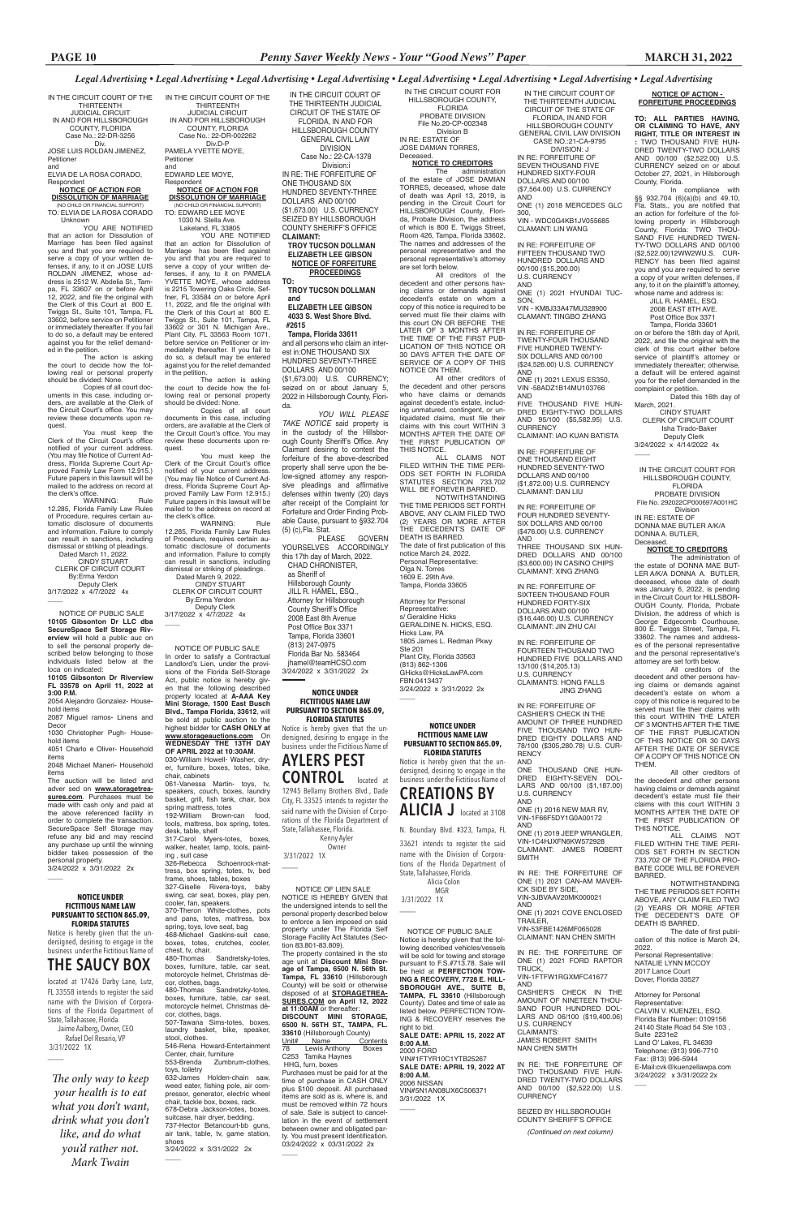Lakeland, FL 33805 YOU ARE NOTIFIED

IN THE CIRCUIT COURT OF THE THIRTEENTH JUDICIAL CIRCUIT IN AND FOR HILLSBOROUGH COUNTY, FLORIDA Case No.: 22-DR-002262 Div.D-P PAMELA YVETTE MOYE,

Petitioner and EDWARD LEE MOYE,

### Respondent **NOTICE OF ACTION FOR DISSOLUTION OF MARRIAGE**

(NO CHILD OR FINANCIAL SUPPORT) TO: EDWARD LEE MOYE 1030 N. Stella Ave.

You must keep the Clerk of the Circuit Court's office notified of your current address. (You may file Notice of Current Address, Florida Supreme Court Approved Family Law Form 12.915.) Future papers in this lawsuit will be mailed to the address on record at the clerk's office.

that an action for Dissolution of Marriage has been filed against you and that you are required to serve a copy of your written defenses, if any, to it on PAMELA YVETTE MOYE, whose address is 2215 Towering Oaks Circle, Seffner, FL 33584 on or before April 11, 2022, and file the original with the Clerk of this Court at 800 E. Twiggs St., Suite 101, Tampa, FL 33602 or 301 N. Michigan Ave., Plant City, FL 33563 Room 1071, before service on Petitioner or immediately thereafter. If you fail to do so, a default may be entered against you for the relief demanded in the petition.

### **NOTICE OF ACTION FOR DISSOLUTION OF MARRIAGE** (NO CHILD OR FINANCIAL SUPP

The action is asking the court to decide how the following real or personal property should be divided: None.

Copies of all court documents in this case, including orders, are available at the Clerk of the Circuit Court's office. You may review these documents upon request.

You must keep the Clerk of the Circuit Court's office notified of your current address. (You may file Notice of Current Address, Florida Supreme Court Approved Family Law Form 12.915.) Future papers in this lawsuit will be mailed to the address on record at the clerk's office. WARNING: Rule

> WARNING: Rule 12.285, Florida Family Law Rules of Procedure, requires certain automatic disclosure of documents and information. Failure to comply can result in sanctions, including dismissal or striking of pleadings. Dated March 9, 2022.

 CINDY STUART CLERK OF CIRCUIT COURT By:Erma Yerdon Deputy Clerk 3/17/2022 x 4/7/2022 4x

 $\overline{\phantom{a}}$ 

IN THE CIRCUIT COURT OF THE THIRTEENTH JUDICIAL CIRCUIT IN AND FOR HILLSBOROUGH COUNTY, FLORIDA Case No.: 22-DR-3256 Div. JOSE LUIS ROLDAN JIMENEZ,

Petitioner and ELVIA DE LA ROSA CORADO,

Respondent

TO: ELVIA DE LA ROSA CORADO

546-Rena Howard-Entertainment Center, chair, furniture<br>553-Brenda Zumbr

 Unknown YOU ARE NOTIFIED that an action for Dissolution of Marriage has been filed against you and that you are required to serve a copy of your written de-fenses, if any, to it on JOSE LUIS ROLDAN JIMENEZ, whose address is 2512 W. Abdelia St., Tampa, FL 33607 on or before April 12, 2022, and file the original with the Clerk of this Court at 800 E. Twiggs St., Suite 101, Tampa, FL 33602, before service on Petitioner or immediately thereafter. If you fail to do so, a default may be entered against you for the relief demanded in the petition.

> Zumbrum-clothes, toys, toiletry

The action is asking the court to decide how the following real or personal property should be divided: None.

Copies of all court documents in this case, including orders, are available at the Clerk of the Circuit Court's office. You may review these documents upon request.

12.285, Florida Family Law Rules of Procedure, requires certain automatic disclosure of documents and information. Failure to comply can result in sanctions, including dismissal or striking of pleadings. Dated March 11, 2022. CINDY STUART

 CLERK OF CIRCUIT COURT By:Erma Yerdon Deputy Clerk 3/17/2022 x 4/7/2022 4x

 $\overline{\phantom{a}}$ 

ALL CLAIMS NOT FILED WITHIN THE TIME PERI-ODS SET FORTH IN FLORIDA STATUTES SECTION 733.702 WILL BE FOREVER BARRED.

Attorney for Personal Representative: s/ Geraldine Hicks GERALDINE N. HICKS, ESQ. Hicks Law, PA 1805 James L. Redman Pkwy Ste 201 Plant City, Florida 33563 (813) 862-1306 GHicks@HicksLawPA.com FBN:0413437 3/24/2022 x 3/31/2022 2x  $\overline{\phantom{a}}$ 

 NOTICE OF PUBLIC SALE In order to satisfy a Contractual Landlord's Lien, under the provisions of the Florida Self-Storage Act, public notice is hereby given that the following described property located at **A-AAA Key Mini Storage, 1500 East Busch Blvd., Tampa Florida, 33612**, will be sold at public auction to the highest bidder for **CASH ONLY at www.storageauctions.com** On **WEDNESDAY THE 13TH DAY OF APRIL 2022 at 10:30AM**. 030-William Howell- Washer, dryer, furniture, boxes, totes, bike, chair, cabinets

061-Vanessa Martin- toys, tv, speakers, couch, boxes, laundry basket, grill, fish tank, chair, box spring mattress, totes

192-William Brown-can food, tools, mattress, box spring, totes, desk, table, shelf 317-Carol Myers-totes, boxes,

walker, heater, lamp, tools, painting , suit case 326-Rebecca Schoenrock-mat-

tress, box spring, totes, tv, bed frame, shoes, tables, boxes 327-Giselle Rivera-toys, baby

swing, car seat, boxes, play pen, cooler, fan, speakers. 370-Theron White-clothes, pots and pans, totes, mattress, box spring, toys, love seat, bag 468-Michael Gaskins-suit case, boxes, totes, crutches, cooler, chest, tv, chair. 480-Thomas Sandretsky-totes,

boxes, furniture, table, car seat, motorcycle helmet, Christmas décor, clothes, bags.

480-Thomas Sandretzky-totes, boxes, furniture, table, car seat, motorcycle helmet, Christmas décor, clothes, bags. 507-Tawana Sims-totes, boxes, laundry basket, bike, speaker, stool, clothes.

632-James Holden-chain saw, weed eater, fishing pole, air compressor, generator, electric wheel chair, tackle box, boxes, rack. 678-Debra Jackson-totes, boxes, suitcase, hair dryer, bedding. 737-Hector Betancourt-bb guns, air tank, table, tv, game station, shoes

NOTWITHSTANDING PERIODS SET FORTH

3/24/2022 x 3/31/2022 2x

 $\overline{\phantom{a}}$ 

 NOTICE OF PUBLIC SALE **10105 Gibsonton Dr LLC dba SecureSpace Self Storage Riverview** will hold a public auc on to sell the personal property described below belonging to those individuals listed below at the loca on indicated:

**10105 Gibsonton Dr Riverview FL 33578 on April 11, 2022 at 3:00 P.M.**

2054 Alejandro Gonzalez- Household items

2087 Miguel ramos- Linens and Decor

1030 Christopher Pugh- Household items

4051 Charlo e Oliver- Household items

2048 Michael Maneri- Household items

The auction will be listed and adver sed on **www.storagetreasures.com**. Purchases must be made with cash only and paid at the above referenced facility in order to complete the transaction. SecureSpace Self Storage may refuse any bid and may rescind any purchase up until the winning bidder takes possession of the personal property. 3/24/2022 x 3/31/2022 2x

IN THE CIRCUIT COURT FOR

HILLSBOROUGH COUNTY, FLORIDA PROBATE DIVISION File No.20-CP-002348 Division B IN RE: ESTATE OF

JOSE DAMIAN TORRES, Deceased. **NOTICE TO CREDITORS**

The administration of the estate of JOSE DAMIAN TORRES, deceased, whose date of death was April 13, 2019, is pending in the Circuit Court for HILLSBOROUGH County, Florida, Probate Division, the address of which is 800 E. Twiggs Street, Room 426, Tampa, Florida 33602. The names and addresses of the personal representative and the personal representative's attorney are set forth below.

> U.S. CURRENCY AND ONE (1) 2021 HYUNDAI TUC-**SON**

All creditors of the decedent and other persons having claims or demands against decedent's estate on whom a copy of this notice is required to be served must file their claims with this court ON OR BEFORE THE LATER OF 3 MONTHS AFTER THE TIME OF THE FIRST PUB-LICATION OF THIS NOTICE OR 30 DAYS AFTER THE DATE OF SERVICE OF A COPY OF THIS NOTICE ON THEM.

> FIVE THOUSAND FIVE HUN-DRED EIGHTY-TWO DOLLARS AND 95/100 (\$5,582.95) U.S. CURRENCY CLAIMANT: IAO KUAN BATISTA

All other creditors of the decedent and other persons who have claims or demands against decedent's estate, including unmatured, contingent, or unliquidated claims, must file their claims with this court WITHIN 3 MONTHS AFTER THE DATE OF THE FIRST PUBLICATION OF THIS NOTICE.

> IN RE: THE FORFEITURE OF ONE (1) 2021 CAN-AM MAVER-ICK SIDE BY SIDE,

NOTWITHSTANDING THE TIME PERIODS SET FORTH ABOVE, ANY CLAIM FILED TWO (2) YEARS OR MORE AFTER THE DECEDENT'S DATE OF DEATH IS BARRED. The date of first publication of this notice March 24, 2022. Personal Representative: Olga N. Torres 1609 E. 29th Ave. Tampa, Florida 33605

> IN RE: THE FORFEITURE OF TWO THOUSAND FIVE HUN-DRED TWENTY-TWO DOLLARS AND 00/100 (\$2,522.00) U.S. **CURRENCY**

IN THE CIRCUIT COURT OF THE THIRTEENTH JUDICIAL CIRCUIT OF THE STATE OF FLORIDA, IN AND FOR HILLSBOROUGH COUNTY GENERAL CIVIL LAW DIVISION Case No.: 22-CA-1378

 Division:i IN RE: THE FORFEITURE OF ONE THOUSAND SIX HUNDRED SEVENTY-THREE DOLLARS AND 00/100 (\$1,673.00) U.S. CURRENCY SEIZED BY HILLSBOROUGH COUNTY SHERIFF'S OFFICE **CLAIMANT: TROY TUCSON DOLLMAN**

 **ELIZABETH LEE GIBSON NOTICE OF FORFEITURE PROCEEDINGS**

**TO: TROY TUCSON DOLLMAN and** 

 **ELIZABETH LEE GIBSON 4033 S. West Shore Blvd. #2615**

 **Tampa, Florida 33611** and all persons who claim an interest in:ONE THOUSAND SIX HUNDRED SEVENTY-THREE DOLLARS AND 00/100 (\$1,673.00) U.S. CURRENCY; seized on or about January 5, 2022 in Hillsborough County, Florida.

*YOU WILL PLEASE TAKE NOTICE* said property is in the custody of the Hillsborough County Sheriff's Office. Any Claimant desiring to contest the forfeiture of the above-described property shall serve upon the below-signed attorney any responsive pleadings and affirmative defenses within twenty (20) days after receipt of the Complaint for Forfeiture and Order Finding Probable Cause, pursuant to §932.704 (5) (c),Fla. Stat.

PLEASE GOVERN YOURSELVES ACCORDINGLY this 17th day of March, 2022. CHAD CHRONISTER,

 as Sheriff of Hillsborough County JILL R. HAMEL, ESQ., Attorney for Hillsborough County Sheriff's Office 2008 East 8th Avenue Post Office Box 3371 Tampa, Florida 33601 (813) 247-0975 Florida Bar No. 583464 jhamel@teamHCSO.com 3/24/2022 x 3/31/2022 2x IN THE CIRCUIT COURT FOR HILLSBOROUGH COUNTY, FLORIDA PROBATE DIVISION

File No. 292022CP000697A001HC Division

IN RE: ESTATE OF DONNA MAE BUTLER A/K/A DONNA A. BUTLER, Deceased.

**NOTICE TO CREDITORS** The administration of the estate of DONNA MAE BUT-LER A/K/A DONNA A. BUTLER, deceased, whose date of death was January 6, 2022, is pending in the Circuit Court for HILLSBOR-OUGH County, Florida, Probate Division, the address of which is George Edgecomb Courthouse, 800 E. Twiggs Street, Tampa, FL 33602. The names and addresses of the personal representative and the personal representative's attorney are set forth below.

All creditors of the decedent and other persons having claims or demands against decedent's estate on whom a copy of this notice is required to be served must file their claims with this court WITHIN THE LATER OF 3 MONTHS AFTER THE TIME OF THE FIRST PUBLICATION OF THIS NOTICE OR 30 DAYS AFTER THE DATE OF SERVICE OF A COPY OF THIS NOTICE ON

THEM.

All other creditors of the decedent and other persons having claims or demands against decedent's estate must file their claims with this court WITHIN 3 MONTHS AFTER THE DATE OF THE FIRST PUBLICATION OF

THIS NOTICE.

ALL CLAIMS NOT FILED WITHIN THE TIME PERI-ODS SET FORTH IN SECTION 733.702 OF THE FLORIDA PRO-BATE CODE WILL BE FOREVER

BARRED.

 $\overline{\phantom{a}}$ 

ABOVE, ANY CLAIM FILED TWO (2) YEARS OR MORE AFTER THE DECEDENT'S DATE OF DEATH IS BARRED.

The date of first publication of this notice is March 24, 2022. Personal Representative: NATALIE LYNN MCCOY 2017 Lance Court Dover, Florida 33527

Attorney for Personal **Representative** CALVIN V. KUENZEL, ESQ. Florida Bar Number: 0109156 24140 State Road 54 Ste 103 , Suite 2231e2 Land O' Lakes, FL 34639 Telephone: (813) 996-7710 Fax: (813) 996-5944 E-Mail:cvk@kuenzellawpa.com 3/24/2022 x 3/31/2022 2x

### NOTICE OF LIEN SALE

NOTICE IS HEREBY GIVEN that the undersigned intends to sell the personal property described below to enforce a lien imposed on said property under The Florida Self Storage Facility Act Statutes (Section 83.801-83.809).

The property contained in the sto age unit at **Discount Mini Storage of Tampa, 6500 N. 56th St. Tampa, FL 33610** (Hillsborough County) will be sold or otherwise disposed of at **STORAGETREA-SURES.COM on April 12, 2022 at 11:00AM** or thereafter: **DISCOUNT MINI STORAGE, 6500 N. 56TH ST., TAMPA, FL. 33610** (Hillsborough County)<br>Unit# Name Contents Unit# Name Content<br>78 Lewis Anthony Boxes Lewis Anthony C253 Tamika Haynes HHG, furn, boxes

Purchases must be paid for at the time of purchase in CASH ONLY plus \$100 deposit. All purchased items are sold as is, where is, and must be removed within 72 hours of sale. Sale is subject to cancellation in the event of settlement between owner and obligated party. You must present Identification. 03/24/2022 x 03/31/2022 2x

 $\overline{\phantom{a}}$ 

**NOTICE OF ACTION - FORFEITURE PROCEEDINGS**

**TO: ALL PARTIES HAVING, OR CLAIMING TO HAVE, ANY RIGHT, TITLE OR INTEREST IN :** TWO THOUSAND FIVE HUN-DRED TWENTY-TWO DOLLARS AND 00/100 (\$2,522.00) U.S. CURRENCY seized on or about October 27, 2021, in Hilsborough County, Florida.

In compliance with §§ 932.704 (6)(a)(b) and 49.10, Fla. Stats., you are notified that an action for forfeiture of the following property in Hillsborough County, Florida: TWO THOU-SAND FIVE HUNDRED TWEN-TY-TWO DOLLARS AND 00/100 (\$2,522.00)12WW2WU.S. CUR-RENCY has been filed against you and you are required to serve a copy of your written defenses, if any, to it on the plaintiff's attorney, whose name and address is:

 JILL R. HAMEL, ESQ. 2008 EAST 8TH AVE. Post Office Box 3371 Tampa, Florida 33601

on or before the 18th day of April, 2022, and file the original with the clerk of this court either before service of plaintiff's attorney or immediately thereafter; otherwise, a default will be entered against you for the relief demanded in the complaint or petition.

Dated this 16th day of March, 2021. CINDY STUART

 CLERK OF CIRCUIT COURT Isha Tirado-Baker Deputy Clerk

3/24/2022 x 4/14/2022 4x \_\_\_\_

IN THE CIRCUIT COURT OF THE THIRTEENTH JUDICIAL CIRCUIT OF THE STATE OF FLORIDA, IN AND FOR HILLSBOROUGH COUNTY GENERAL CIVIL LAW DIVISION CASE NO.:21-CA-9795

DIVISION: J IN RE: FORFEITURE OF SEVEN THOUSAND FIVE HUNDRED SIXTY-FOUR DOLLARS AND 00/100 (\$7,564.00) U.S. CURRENCY AND

ONE (1) 2018 MERCEDES GLC 300,

VIN - WDC0G4KB1JV055685 CLAMANT: LIN WANG

IN RE: FORFEITURE OF FIFTEEN THOUSAND TWO HUNDRED DOLLARS AND 00/100 (\$15,200.00)

VIN - KM8J33A47MU328900 CLAMANT: TINGBO ZHANG

IN RE: FORFEITURE OF TWENTY-FOUR THOUSAND FIVE HUNDRED TWENTY-SIX DOLLARS AND 00/100 (\$24,526.00) U.S. CURRENCY AND

ONE (1) 2021 LEXUS ES350, VIN -58ADZ1B14MU103766 AND

IN RE: FORFEITURE OF ONE THOUSAND EIGHT HUNDRED SEVENTY-TWO DOLLARS AND 00/100 (\$1,872.00) U.S. CURRENCY CLAIMANT: DAN LIU

IN RE: FORFEITURE OF FOUR HUNDRED SEVENTY-SIX DOLLARS AND 00/100 (\$476.00) U.S. CURRENCY AND

THREE THOUSAND SIX HUN-DRED DOLLARS AND 00/100 (\$3,600.00) IN CASINO CHIPS CLAIMANT: XING ZHANG

IN RE: FORFEITURE OF SIXTEEN THOUSAND FOUR HUNDRED FORTY-SIX DOLLARS AND 00/100 (\$16,446.00) U.S. CURRENCY CLAIMANT: JIN ZHU CAI

IN RE: FORFEITURE OF FOURTEEN THOUSAND TWO HUNDRED FIVE DOLLARS AND 13/100 (\$14,205.13) U.S. CURRENCY CLAIMANTS: HONG FALLS

JING ZHANG

IN RE: FORFEITURE OF CASHIER'S CHECK IN THE AMOUNT OF THREE HUNDRED FIVE THOUSAND TWO HUN-DRED EIGHTY DOLLARS AND 78/100 (\$305,280.78) U.S. CUR-**RENCY** AND

ONE THOUSAND ONE HUN-DRED EIGHTY-SEVEN DOL-LARS AND 00/100 (\$1,187.00) U.S. CURRENCY AND

ONE (1) 2016 NEW MAR RV, VIN-1F66F5DY1G0A00172 AND

ONE (1) 2019 JEEP WRANGLER, VIN-1C4HJXFN6KW572928 CLAIMANT: JAMES ROBERT SMITH

VIN-3JBVAAV20MK000021 AND ONE (1) 2021 COVE ENCLOSED TRAILER, VIN-53FBE1426MF065028

CLAIMANT: NAN CHEN SMITH

IN RE: THE FORFEITURE OF ONE (1) 2021 FORD RAPTOR TRUCK, VIN-1FTFW1RGXMFC41677 AND

CASHIER'S CHECK IN THE AMOUNT OF NINETEEN THOU-SAND FOUR HUNDRED DOL-LARS AND 06/100 (\$19,400.06) U.S. CURRENCY CLAIMANTS: JAMES ROBERT SMITH NAN CHEN SMITH

SEIZED BY HILLSBOROUGH COUNTY SHERIFF'S OFFICE

*(Continued on next column)*

#### **NOTICE UNDER FICTITIOUS NAME LAW PURSUANT TO SECTION 865.09, FLORIDA STATUTES**

Notice is hereby given that the undersigned, desiring to engage in the business under the Fictitious Name of

## **CREATIONS BY ALICIA J** located at 3108

N. Boundary Blvd. #323, Tampa, FL

33621 intends to register the said name with the Division of Corporations of the Florida Department of State, Tallahassee, Florida.

> Alicia Colon MGR

3/31/2022 1X

 $\overline{\phantom{a}}$ 

 $\overline{\phantom{a}}$ 

**NOTICE UNDER FICTITIOUS NAME LAW PURSUANT TO SECTION 865.09, FLORIDA STATUTES**

Notice is hereby given that the undersigned, desiring to engage in the business under the Fictitious Name of

## **AYLERS PEST CONTROL** located at

12945 Bellamy Brothers Blvd., Dade City, FL 33525 intends to register the said name with the Division of Corporations of the Florida Department of State, Tallahassee, Florida.

 Kenny Ayler Owner 3/31/2022 1X

\_\_\_\_

 NOTICE OF PUBLIC SALE Notice is hereby given that the following described vehicles/vessels will be sold for towing and storage pursuant to F.S.#713.78. Sale will be held at **PERFECTION TOW-ING & RECOVERY, 7728 E. HILL-SBOROUGH AVE., SUITE B, TAMPA, FL 33610** (Hillsborough County). Dates and time of sale as listed below. PERFECTION TOW-ING & RECOVERY reserves the right to bid. **SALE DATE: APRIL 15, 2022 AT** 

**8:00 A.M.** 2000 FORD

VIN#1FTYR10C1YTB25267 **SALE DATE: APRIL 19, 2022 AT 8:00 A.M.** 2006 NISSAN VIN#5N1AN08UX6C506371

3/31/2022 1X

#### **NOTICE UNDER FICTITIOUS NAME LAW PURSUANT TO SECTION 865.09, FLORIDA STATUTES**

 $\overline{\phantom{a}}$ 

 $\overline{\phantom{a}}$ 

Notice is hereby given that the undersigned, desiring to engage in the business under the Fictitious Name of **THE SAUCY BOX**

located at 17426 Darby Lane, Lutz, FL 33558 intends to register the said name with the Division of Corporations of the Florida Department of State, Tallahassee, Florida.

 Jaime Aalberg, Owner, CEO Rafael Del Rosario, VP 3/31/2022 1X

*The only way to keep your health is to eat what you don't want, drink what you don't like, and do what you'd rather not. Mark Twain*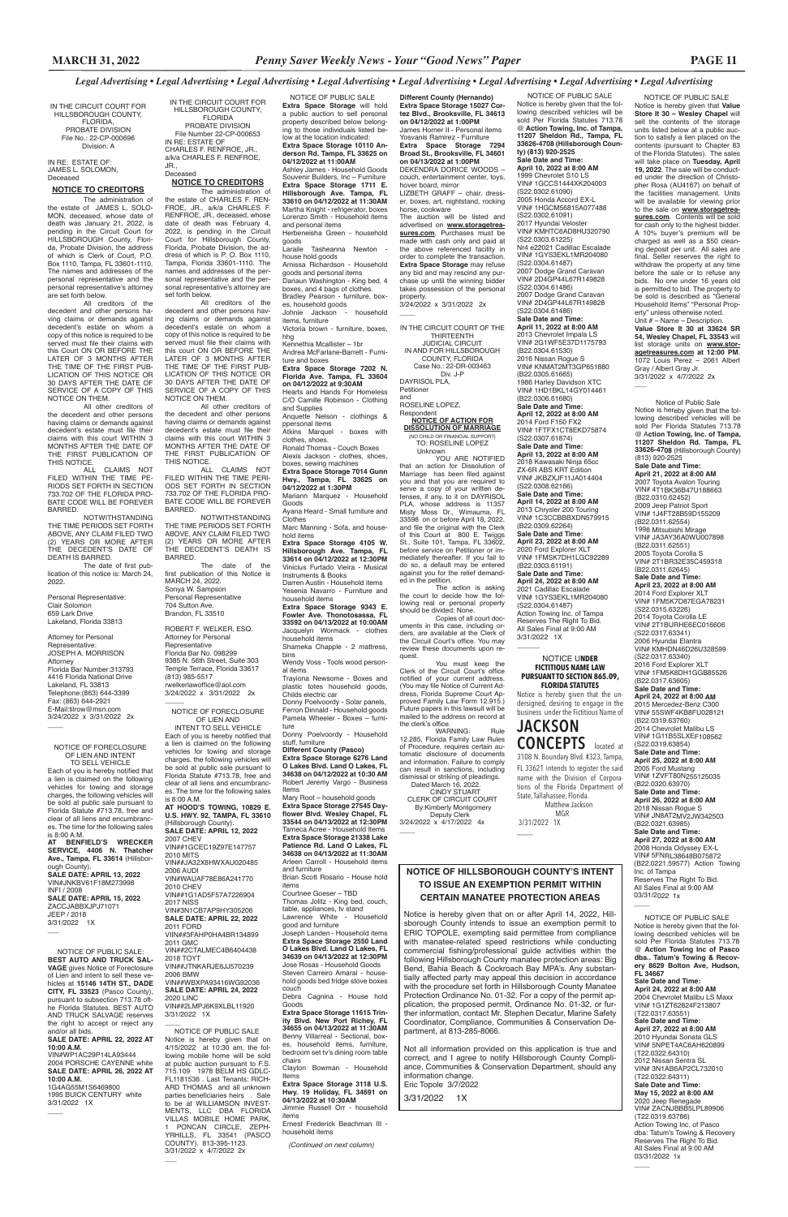IN THE CIRCUIT COURT FOR HILLSBOROUGH COUNTY, FLORIDA, PROBATE DIVISION File No.: 22-CP-000696 Division: A

IN RE: ESTATE OF: JAMES L. SOLOMON, Deceased

### **NOTICE TO CREDITORS**

The administration of the estate of JAMES L. SOLO-MON, deceased, whose date of death was January 21, 2022, is pending in the Circuit Court for HILLSBOROUGH County, Florida, Probate Division, the address of which is Clerk of Court, P.O. Box 1110, Tampa, FL 33601-1110. The names and addresses of the personal representative and the personal representative's attorney are set forth below.

All creditors of the decedent and other persons having claims or demands against decedent's estate on whom a copy of this notice is required to be served must file their claims with this Court ON OR BEFORE THE LATER OF 3 MONTHS AFTER THE TIME OF THE FIRST PUB-LICATION OF THIS NOTICE OR 30 DAYS AFTER THE DATE OF SERVICE OF A COPY OF THIS NOTICE ON THEM.

All other creditors of the decedent and other persons having claims or demands against decedent's estate must file their claims with this court WITHIN 3 MONTHS AFTER THE DATE OF THE FIRST PUBLICATION OF THIS NOTICE.

ALL CLAIMS NOT FILED WITHIN THE TIME PE-RIODS SET FORTH IN SECTION 733.702 OF THE FLORIDA PRO-BATE CODE WILL BE FOREVER BARRED.

NOTWITHSTANDING THE TIME PERIODS SET FORTH ABOVE, ANY CLAIM FILED TWO (2) YEARS OR MORE AFTER THE DECEDENT'S DATE OF DEATH IS BARRED.

The date of first publication of this notice is: March 24, 2022.

#### Personal Representative: Clair Solomon 659 Lark Drive

Lakeland, Florida 33813

Attorney for Personal Representative: JOSEPH A. MORRISON **Attorney** Florida Bar Number:313793 4416 Florida National Drive Lakeland, FL 33813 Telephone:(863) 644-3399 Fax: (863) 644-2921 E-Mail:tilrow@msn.com 3/24/2022 x 3/31/2022 2x

> **NOTICE OF HILLSBOROUGH COUNTY'S INTENT TO ISSUE AN EXEMPTION PERMIT WITHIN**

 $\overline{\phantom{a}}$ 

#### ROBERT F. WELKER, ESQ. Attorney for Personal Representative Florida Bar No. 098299 9385 N. 56th Street, Suite 303 Temple Terrace, Florida 33617 (813) 985-5517 rwelkerlawoffice@aol.com 3/24/2022 x 3/31/2022 2x  $\overline{\phantom{a}}$

Notice is hereby given that on or after April 14, 2022, Hillsborough County intends to issue an exemption permit to ERIC TOPOLE, exempting said permittee from compliance with manatee-related speed restrictions while conducting commercial fishing/professional guide activities within the following Hillsborough County manatee protection areas: Big Bend, Bahia Beach & Cockroach Bay MPA's. Any substantially affected party may appeal this decision in accordance with the procedure set forth in Hillsborough County Manatee Protection Ordinance No. 01-32. For a copy of the permit application, the proposed permit, Ordinance No. 01-32, or further information, contact Mr. Stephen Decatur, Marine Safety Coordinator, Compliance, Communities & Conservation Department, at 813-285-8066.

Not all information provided on this application is true and correct, and I agree to notify Hillsborough County Compliance, Communities & Conservation Department, should any information change. Eric Topole 3/7/2022

3/31/2022 1X

IN THE CIRCUIT COURT FOR HILLSBOROUGH COUNTY, FLORIDA PROBATE DIVISION File Number 22-CP-000653 IN RE: ESTATE OF CHARLES F. RENFROE, JR.,

#### a/k/a CHARLES F. RENFROE, JR., Deceased

### **NOTICE TO CREDITORS**

The administration of state of CHARLES F. REN-FROE, JR., a/k/a CHARLES F. RENFROE, JR., deceased, whose date of death was February 4, 2022, is pending in the Circuit Court for Hillsborough County, Florida, Probate Division, the address of which is P. O. Box 1110, Tampa, Florida 33601-1110. The names and addresses of the personal representative and the personal representative's attorney are set forth below.

All creditors of the decedent and other persons having claims or demands against decedent's estate on whom a copy of this notice is required to be served must file their claims with this court ON OR BEFORE THE LATER OF 3 MONTHS AFTER THE TIME OF THE FIRST PUB-LICATION OF THIS NOTICE OR 30 DAYS AFTER THE DATE OF SERVICE OF A COPY OF THIS NOTICE ON THEM.

All other creditors of the decedent and other persons having claims or demands against decedent's estate must file their claims with this court WITHIN 3 MONTHS AFTER THE DATE OF THE FIRST PUBLICATION OF THIS NOTICE.

ALL CLAIMS NOT FILED WITHIN THE TIME PERI-ODS SET FORTH IN SECTION 733.702 OF THE FLORIDA PRO-BATE CODE WILL BE FOREVER BARRED.

NOTWITHSTANDING THE TIME PERIODS SET FORTH ABOVE, ANY CLAIM FILED TWO (2) YEARS OR MORE AFTER THE DECEDENT'S DEATH IS BARRED.

The date of the first publication of this Notice is MARCH 24, 2022. Sonya W. Sampson Personal Representative 704 Sutton Ave. Brandon, FL 33510

> **CERTAIN MANATEE PROTECTION AREAS** Thomas Jolitz - King bed, couch,

WARNING: Rule 12.285, Florida Family Law Rules of Procedure, requires certain automatic disclosure of documents and information. Failure to comply can result in sanctions, including dismissal or striking of pleadings.

 Deputy Clerk 3/24/2022 x 4/17/2022 4x  $\overline{\phantom{a}}$ 

The auction will be listed and advertised on **www.storagetreasures.com**. Purchases must be made with cash only and paid at the above referenced facility in order to complete the transaction. **Extra Space Storage** may refuse any bid and may rescind any purchase up until the winning bidder takes possession of the personal property. 3/24/2022 x 3/31/2022 2x

 $\overline{\phantom{a}}$ 

**Different County (Hernando) Extra Space Storage 15027 Cortez Blvd., Brooksville, FL 34613 on 04/12/2022 at 1:00PM** James Horner II - Personal items Yosvanis Ramirez - Furniture **Extra Space Storage 7294 Broad St., Brooksville, FL 34601 on 04/13/2022 at 1:00PM** DEKENDRA DORICE WOODS – couch, entertainment center, toys, hover board, mirror LIZBETH GRAFF – chair, dresser, boxes, art, nightstand, rocking horse, cookware **Extra Space Storage** will hold a public auction to sell personal **Extra Space Storage 10110 Anderson Rd. Tampa, FL 33625 on**  Ashley James - Household Goods **Extra Space Storage 1711 E. Hillsborough Ave. Tampa, FL 33610 on 04/12/2022 at 11:30AM** Martha Knight - refrigerator, boxes

NOTICE OF PUBLIC SALE

property described below belonging to those individuals listed below at the location indicated:

**04/12/2022 at 11:00AM**

Souvenir Builders, Inc – Furniture

Lorenzo Smith - Household items

and personal items

Herbeneisha Green - household

house hold goods

Arnissa Richardson - Household goods and personal items Dariaun Washington - King bed, 4 boxes, and 4 bags of clothes. Bradley Pearson - furniture, box-

es, household goods

Johnie Jackson - household

items, furniture

Victoria brown - furniture, boxes,

hhg

goods<br>Laraile

Kennethia Mcallister – 1br Andrea McFarlane-Barrett - Furni-

ture and boxes

**Extra Space Storage 7202 N. Florida Ave. Tampa, FL 33604 on 04/12/2022 at 9:30AM** Hearts and Hands For Homeless C/O Camille Robinson - Clothing

and Supplies

Anquette Nelson - clothings &

ppersonal items

clothes, shoes.

Ronald Thomas - Couch Boxes Alexis Jackson - clothes, shoes, boxes, sewing machines **Extra Space Storage 7014 Gunn Hwy., Tampa, FL 33625 on** 

**04/12/2022 at 1:30PM** Mariann Marquez - Household

Goods

**C**lothes

Ayana Heard - Small furniture and

Marc Manning - Sofa, and house-

hold items

**Extra Space Storage 4105 W. Hillsborough Ave. Tampa, FL 33614 on 04/12/2022 at 12:30PM** Vinicius Furtado Vieira - Musical

Instruments & Books Darren Austin - Household items Yesenia Navarro - Furniture and

household items

**Extra Space Storage 9343 E. Fowler Ave. Thonotosassa, FL 33592 on 04/13/2022 at 10:00AM**  Jacquelyn Wormack - clothes

household items

Shameka Chapple - 2 mattress,

bins

Wendy Voss - Tools wood person-

al items

Trayiona Newsome - Boxes and plastic totes household goods,

Childs electric car

Donny Poelvoordy - Solar panels, Ferron Dinnald - Household goods Pamela Wheeler - Boxes – furni-

ture

Donny Poelvoordy - Household

stuff, furniture **Different County (Pasco) Extra Space Storage 6276 Land O Lakes Blvd. Land O Lakes, FL 34638 on 04/12/2022 at 10:30 AM**  Robert Jeremy Vargo - Business

Items

Mary Root – household goods **Extra Space Storage 27545 Dayflower Blvd. Wesley Chapel, FL 33544 on 04/13/2022 at 12:30PM**  Tameca Acree - Household Items **Extra Space Storage 21338 Lake Patience Rd. Land O Lakes, FL 34638 on 04/13/2022 at 11:30AM**  Arleen Carroll - Household items

Atkins Marquel - boxes with (NO CHILD OR FINANCIAL SUPPORT) TO: ROSELINE LOPEZ

and furniture

Brian Scott Rosario - House hold

items Courtnee Goeser – TBD

> table, appliances, tv stand Lawrence White - Household

Tasheanna Newton -

good and furniture

Joseph Landen - Household items **Extra Space Storage 2550 Land O Lakes Blvd. Land O Lakes, FL 34639 on 04/13/2022 at 12:30PM** Jose Rosas - Household Goods Steven Carreiro Amaral - household goods bed fridge stove boxes

couch

Debra Cagnina - House hold

Goods

**Extra Space Storage 11615 Trinity Blvd. New Port Richey, FL 34655 on 04/13/2022 at 11:30AM**  Benny Villarreal - Sectional, boxes, household items, furniture, bedroom set tv's dining room table

chairs

Clayton Bowman - Household

Items

**Extra Space Storage 3118 U.S. Hwy. 19 Holiday, FL 34691 on 04/13/2022 at 10:30AM** Jimmie Russell Orr - household

items

Ernest Frederick Beachman III -

household items

*(Continued on next column)* 

IN THE CIRCUIT COURT OF THE THIRTEENTH JUDICIAL CIRCUIT IN AND FOR HILLSBOROUGH COUNTY, FLORIDA

Case No.: 22-DR-003463 Div. J-P DAYRISOL PLA,

 $\overline{\phantom{a}}$  NOTICE OF PUBLIC SALE Notice is hereby given that on 4/15/2022 at 10:30 am, the following mobile home will be sold at public auction pursuant to F.S. 715.109 1978 BELM HS GDLC-FL1181536 . Last Tenants: RICH-ARD THOMAS and all unknown parties beneficiaries heirs . Sale to be at WILLIAMSON INVEST-MENTS, LLC DBA FLORIDA VILLAS MOBILE HOME PARK, 1 PONCAN CIRCLE, ZEPH-YRHILLS, FL 33541 (PASCO COUNTY). 813-395-1123. 3/31/2022 x 4/7/2022 2x

Petitioner and ROSELINE LOPEZ,

### Respondent **NOTICE OF ACTION FOR DISSOLUTION OF MARRIAGE**

Unknown

YOU ARE NOTIFIED that an action for Dissolution of Marriage has been filed against you and that you are required to serve a copy of your written de-fenses, if any, to it on DAYRISOL PLA, whose address is 11357 Misty Moss Dr., Wimauma, FL 33598 on or before April 18, 2022, and file the original with the Clerk of this Court at 800 E. Twiggs St., Suite 101, Tampa, FL 33602, before service on Petitioner or immediately thereafter. If you fail to do so, a default may be entered against you for the relief demanded in the petition. The action is asking

the court to decide how the following real or personal property should be divided: None. Copies of all court doc-

uments in this case, including orders, are available at the Clerk of the Circuit Court's office. You may review these documents upon request.

You must keep the Clerk of the Circuit Court's office notified of your current address. (You may file Notice of Current Address, Florida Supreme Court Ap-proved Family Law Form 12.915.) Future papers in this lawsuit will be mailed to the address on record at the clerk's office.

 Dated March 16, 2022. CINDY STUART CLERK OF CIRCUIT COURT By:Kimberly Montgomery

NOTICE OF PUBLIC SALE Notice is hereby given that the following described vehicles will be sold Per Florida Statutes 713.78 @ **Action Towing, Inc. of Tampa, 11207 Sheldon Rd., Tampa, FL 33626-4708 (Hillsborough County) (813) 920-2525 Sale Date and Time: April 10, 2022 at 8:00 AM** 1999 Chevrolet S10 LS VIN# 1GCCS1444XK204003 (S22.0302.61090) 2005 Honda Accord EX-L VIN# 1HGCM56815A077488 (S22.0302.61091) 2017 Hyundai Veloster VIN# KMHTC6AD8HU320790 (S22.0303.61225) Nr4 e22021 Cadillac Escalade VIN# 1GYS3EKL1MR204080 (S22.0304.61487) 2007 Dodge Grand Caravan VIN# 2D4GP44L67R149828 (S22.0304.61486) 2007 Dodge Grand Caravan VIN# 2D4GP44L67R149828 (S22.0304.61486) **Sale Date and Time: April 11, 2022 at 8:00 AM** 2013 Chevrolet Impala LS VIN# 2G1WF5E37D1175793 (B22.0304.61530) 2016 Nissan Rogue S VIN# KNMAT2MT3GP651880 (B22.0305.61665) 1986 Harley Davidson XTC VIN# 1HD1BKL14GY014461 (B22.0306.61680) **Sale Date and Time: April 12, 2022 at 8:00 AM** 2014 Ford F150 FX2 VIN# 1FTFX1CT8EKD75874 (S22.0307.61874) **Sale Date and Time: April 13, 2022 at 8:00 AM** 2018 Kawasaki Ninja 65cc ZX-6R ABS KRT Edition VIN# JKBZXJF11JA014404 (S22.0308.62166) **Sale Date and Time: April 14, 2022 at 8:00 AM** 2013 Chrysler 200 Touring VIN# 1C3CCBBBXDN579915 (B22.0309.62264) **Sale Date and Time: April 23, 2022 at 8:00 AM** 2020 Ford Explorer XLT VIN# 1FMSK7DH1LGC92289 (B22.0303.61191) **Sale Date and Time: April 24, 2022 at 8:00 AM** 2021 Cadillac Escalade VIN# 1GYS3EKL1MR204080 (S22.0304.61487) Action Towing Inc. of Tampa Reserves The Right To Bid. All Sales Final at 9:00 AM 3/31/2022 1X  $\overline{\phantom{a}}$ NOTICE U**NDER FICTITIOUS NAME LAW PURSUANT TO SECTION 865.09, FLORIDA STATUTES**

Notice is hereby given that the undersigned, desiring to engage in the business under the Fictitious Name of

# **JACKSON CONCEPTS** located at

3108 N. Boundary Blvd. #323, Tampa, FL 33621 intends to register the said name with the Division of Corporations of the Florida Department of State, Tallahassee, Florida. Matthew Jackson MGR 3/31/2022 1X

NOTICE OF PUBLIC SALE

Notice is hereby given that **Value Store It 30 – Wesley Chapel** will sell the contents of the storage units listed below at a public auction to satisfy a lien placed on the contents (pursuant to Chapter 83 of the Florida Statutes). The sales will take place on **Tuesday, April 19, 2022**. The sale will be conducted under the direction of Christopher Rosa (AU4167) on behalf of the facilities management. Units will be available for viewing prior to the sale on **www.storagetrea**sures.com. Contents will be sold for cash only to the highest bidder A 10% buyer's premium will be charged as well as a \$50 cleaning deposit per unit. All sales are final. Seller reserves the right to withdraw the property at any time before the sale or to refuse any bids. No one under 16 years old is permitted to bid. The property to be sold is described as "General Household Items" "Personal Property" unless otherwise noted. Unit # – Name – Description. **Value Store It 30 at 33624 SR 54, Wesley Chapel, FL 33543** will list storage units on **www.storagetreasures.com at 12:00 PM**. 1072 Louis Perez – 2061 Albert Gray / Albert Gray Jr. 3/31/2022 x 4/7/2022 2x  $\overline{\phantom{a}}$ Notice of Public Sale

#### NOTICE OF FORECLOSURE OF LIEN AND INTENT TO SELL VEHICLE

Each of you is hereby notified that a lien is claimed on the following vehicles for towing and storage charges, the following vehicles will be sold at public sale pursuant to Florida Statute #713.78, free and clear of all liens and encumbrances. The time for the following sales is 8:00 A.M.

**AT BENFIELD'S WRECKER SERVICE, 4406 N. Thatcher Ave., Tampa, FL 33614** (Hillsborough County). **SALE DATE: APRIL 13, 2022** VIN#JNKBV61F18M273998 INFI / 2008

**SALE DATE: APRIL 15, 2022** ZACCJABBXJPJ71071 JEEP / 2018 3/31/2022 1X

 $\overline{\phantom{a}}$ 

 $\overline{\phantom{a}}$ 

 $\overline{\phantom{a}}$ 

 NOTICE OF PUBLIC SALE: **BEST AUTO AND TRUCK SAL-VAGE** gives Notice of Foreclosure of Lien and intent to sell these vehicles at **15146 14TH ST., DADE CITY, FL 33523** (Pasco County), pursuant to subsection 713.78 ofthe Florida Statutes. BEST AUTO AND TRUCK SALVAGE reserves the right to accept or reject any and/or all bids.

### **SALE DATE: APRIL 22, 2022 AT 10:00 A.M.**

VIN#WP1AC29P14LA93444 2004 PORSCHE CAYENNE white **SALE DATE: APRIL 26, 2022 AT 10:00 A.M.**

1G4AG55M1S6469800 1995 BUICK CENTURY white 3/31/2022 1X

Notice is hereby given that the following described vehicles will be sold Per Florida Statutes 713.78 @ A**ction Towing, Inc. of Tampa, 11207 Sheldon Rd. Tampa, FL 33626-4708** (Hillsborough County) (813) 920-2525 **Sale Date and Time: April 21, 2022 at 8:00 AM** 2007 Toyota Avalon Touring VIN# 4T1BK36B47U188663 (B22.0310.62452) 2009 Jeep Patriot Sport VIN# 1J4FT28B59D155209 (B22.0311.62554) 1998 Mitsubishi Mirage VIN# JA3AY36A0WU007898 (B22.0311.62551) 2005 Toyota Corolla S VIN# 2T1BR32E35C459318 (B22.0311.62645) **Sale Date and Time: April 23, 2022 at 8:00 AM** 2014 Ford Explorer XLT VIN# 1FM5K7D87EGA78231 (S22.0315.63226) 2014 Toyota Corolla LE VIN# 2T1BURHE6EC016606 (S22.0317.63341) 2006 Hyundai Elantra VIN# KMHDN46D26U328599 (S22.0317.63340) 2016 Ford Explorer XLT VIN# 1FM5K8DH1GGB85526 (B22.0317.63605) **Sale Date and Time: April 24, 2022 at 8:00 AM** 2015 Mercedez-Benz C300 VIN# 55SWF4KB8FU028121 (B22.0319.63760) 2014 Chevrolet Malibu LS VIN# 1G11B5SLXEF108562 (S22.0319.63854) **Sale Date and Time: April 25, 2022 at 8:00 AM** 2005 Ford Mustang VIN# 1ZVFT80N255125035 (B22.0320.63970) **Sale Date and Time: April 26, 2022 at 8:00 AM** 2018 Nissan Rogue S VIN# JN8AT2MV2JW342503 (B22.0321.63985) **Sale Date and Time: April 27, 2022 at 8:00 AM** 2008 Honda Odyssey EX-L VIN# 5FNRL38648B075872 (B22.0221.59577) Action Towing Inc. of Tampa Reserves The Right To Bid. All Sales Final at 9:00 AM

03/31/2022 1x

 $\overline{\phantom{a}}$ 

NOTICE OF PUBLIC SALE Notice is hereby given that the following described vehicles will be sold Per Florida Statutes 713.78 @ **Action Towing Inc of Pasco dba.. Tatum's Towing & Recovery 8629 Bolton Ave, Hudson, FL 34667 Sale Date and Time: April 24, 2022 at 8:00 AM** 2004 Chevrolet Malibu LS Maxx VIN# 1G1ZT62824F213807 (T22.0317.63551) **Sale Date and Time: April 27, 2022 at 8:00 AM** 2010 Hyundai Sonata GLS VIN# 5NPET4AC6AH620899 (T22.0322.64310) 2012 Nissan Sentra SL VIN# 3N1AB6AP2CL732010 (T22.0322.64311) **Sale Date and Time: May 15, 2022 at 8:00 AM** 2020 Jeep Renegade VIN# ZACNJBBB5LPL89906 (T22.0319.63786) Action Towing Inc. of Pasco dba: Tatum's Towing & Recovery Reserves The Right To Bid. All Sales Final at 9:00 AM 03/31/2022 1x

 $\overline{\phantom{a}}$ 

NOTICE OF FORECLOSURE OF LIEN AND

INTENT TO SELL VEHICLE Each of you is hereby notified that a lien is claimed on the following vehicles for towing and storage charges, the following vehicles will be sold at public sale pursuant to Florida Statute #713.78, free and clear of all liens and encumbrances. The time for the following sales is 8:00 A.M. **AT HOOD'S TOWING, 10829 E.** 

**U.S. HWY. 92, TAMPA, FL 33610**  (Hillsborough County). **SALE DATE: APRIL 12, 2022** 2007 CHEV VIN##1GCEC19Z97E147757

2010 MITS VIN##JA32X8HWXAU020485

2006 AUDI VIN#WAUAF78E86A241770

2010 CHEV

VIN##1G1AD5F57A7226904

2017 NISS VIN#3N1CB7AP9HY305206 **SALE DATE: APRIL 22, 2022** 2011 FORD VIIN##3FAHP0HA4BR134899 2011 GMC VIN##2CTALMEC4B6404438 2018 TOYT VIN##JTNKARJE6JJ570239 2006 BMW VIN##WBXPA93416WG92036 **SALE DATE: APRIL 24, 2022**  2020 LINC VIN##2LMPJ6K9XLBL11920 3/31/2022 1X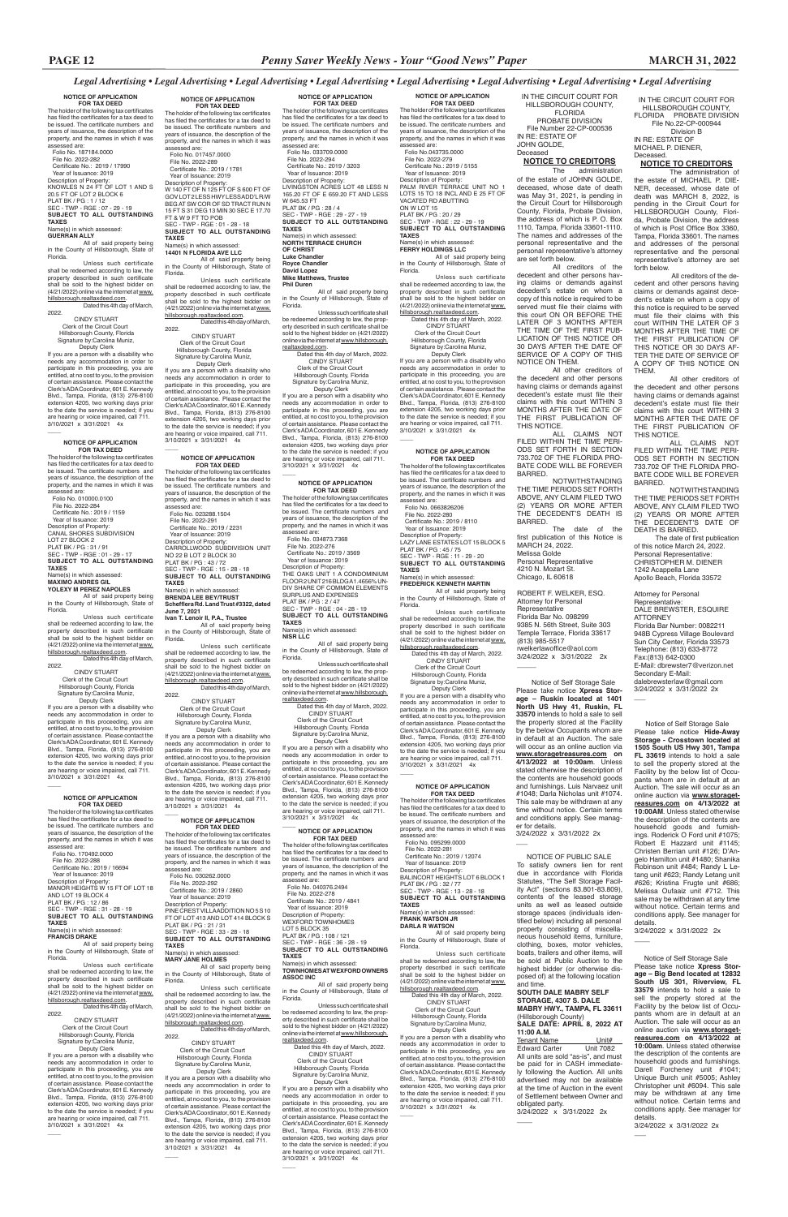### **NOTICE OF APPLICATION FOR TAX DEED**<br>The holder of the following tax certificates has filed the certificates for a tax deed to be issued. The certificate numbers and years of issuance, the description of the property, and the names in which it was assessed are: Folio No. 187184.0000 File No. 2022-282 Certificate No.: 2019 / 17990 Year of Issuance: 2019 Description of Property: KNOWLES N 24 FT OF LOT 1 AND S 20.5 FT OF LOT 2 BLOCK 6 PLAT BK / PG : 1 / 12 SEC - TWP - RGE : 07 - 29 - 19

 Deputy Clerk If you are a person with a disability who needs any accommodation in order to participate in this proceeding, you are entitled, at no cost to you, to the provision of certain assistance. Please contact the Clerk's ADA Coordinator, 601 E. Kennedy Blvd., Tampa, Florida, (813) 276-8100 extension 4205, two working days prior to the date the service is needed; if you are hearing or voice impaired, call 711. 3/10/2021 x 3/31/2021 4x  $\overline{\phantom{a}}$ 

**SUBJECT TO ALL OUTSTANDING TAXES** Name(s) in which assessed:

**GUERRAN ALLY** All of said property being in the County of Hillsborough, State of Florida.

Unless such certificate shall be redeemed according to law, the property described in such certificate shall be sold to the highest bidder on (4/21/2022) online via the internet at www. hillsborough.realtaxdeed.com. Dated this 4th day of March, 2022.

 CINDY STUART Clerk of the Circuit Court Hillsborough County, Florida Signature by:Carolina Muniz,

### **NOTICE OF APPLICATION**

**FOR TAX DEED** The holder of the following tax certificates has filed the certificates for a tax deed to be issued. The certificate numbers and years of issuance, the description of the property, and the names in which it was assessed are: Folio No. 010000.0100 File No. 2022-284

Dated this 4th day of March, 2022.

 CINDY STUART Clerk of the Circuit Court Hillsborough County, Florida Signature by:Carolina Muniz, Deputy Clerk

 Certificate No.: 2019 / 1159 Year of Issuance: 2019 Description of Property: CANAL SHORES SUBDIVISION LOT 27 BLOCK 2 PLAT BK / PG : 31 / 91 SEC - TWP - RGE : 01 - 29 - 17 **SUBJECT TO ALL OUTSTANDING TAXES**

Name(s) in which assessed: **MAXIMO ANDRES GIL**

**YOLEXY M PEREZ NAPOLES**

All of said property being in the County of Hillsborough, State of Florida.

Unless such certificate shall be redeemed according to law, the property described in such certificate shall be sold to the highest bidder on (4/21/2022) online via the internet at www.

hillsborough.realtaxdeed.com. Dated this 4th day of March, 2022.

**FOR TAX DEED**<br>The holder of the following tax certificates<br>has filed the certificates for a tax deed to be issued. The certificate numbers and years of issuance, the description of the property, and the names in which it was assessed are: Folio No. 017457.0000 File No. 2022-289 Certificate No.: 2019 / 1781 Year of Issuance: 2019 Description of Property: W 140 FT OF N 125 FT OF S 600 FT OF<br>GOV LOT2 LESS HWY LESS ADD'L R/W<br>BEG AT SW COR OF SD TRACT RUN N 15 FT S 31 DEG 13 MIN 30 SEC E 17.70

 CINDY STUART Clerk of the Circuit Court Hillsborough County, Florida Signature by:Carolina Muniz. Deputy Clerk If you are a person with a disability who

needs any accommodation in order to participate in this proceeding, you are entitled, at no cost to you, to the provision of certain assistance. Please contact the Clerk's ADA Coordinator, 601 E. Kennedy Blvd., Tampa, Florida, (813) 276-8100 extension 4205, two working days prior to the date the service is needed; if you are hearing or voice impaired, call 711. 3/10/2021 x 3/31/2021 4x

#### **NOTICE OF APPLICATION FOR TAX DEED**

 $\overline{\phantom{a}}$ 

The holder of the following tax certificates has filed the certificates for a tax deed to be issued. The certificate numbers and years of issuance, the description of the property, and the names in which it was

assessed are: Folio No. 170492.0000 File No. 2022-288 Certificate No.: 2019 / 16694 Year of Issuance: 2019 Description of Property: MANOR HEIGHTS W 15 FT OF LOT 18

leemed according to law, the property described in such certificate shall be sold to the highest bidder on (4/21/2022) online via the internet at www. hillsborough.realtaxdeed.com.

Dated this 4th day of March. 2022.

AND LOT 19 BLOCK 4 PLAT BK / PG : 12 / 86 SEC - TWP - RGE : 31 - 28 - 19 **SUBJECT TO ALL OUTSTANDING TAXES**

Name(s) in which assessed: **FRANCIS DRAKE**

All of said property being in the County of Hillsborough, State of Florida.

Deputy Clerk If you are a person with a disability who needs any accommodation in order to participate in this proceeding, you are entitled, at no cost to you, to the provision of certain assistance. Please contact the Clerk's ADA Coordinator, 601 E. Kennedy Blvd., Tampa, Florida, (813) 276-8100 extension 4205, two working days prior to the date the service is needed; if you are hearing or voice impaired, call 711. 3/10/2021 x 3/31/2021 4x

Unless such certificate shall be redeemed according to law, the property described in such certificate shall be sold to the highest bidder on (4/21/2022) online via the internet at www. hillsborough.realtaxdeed.com.

If you are a person with a disability who needs any accommodation in order to participate in this proceeding, you are entitled, at no cost to you, to the provision of certain assistance. Please contact the Clerk's ADA Coordinator, 601 E. Kennedy Blvd., Tampa, Florida, (813) 276-8100 extension 4205, two working days prior to the date the service is needed; if you are hearing or voice impaired, call 711. 3/10/2021 x 3/31/2021 4x

 $\overline{\phantom{a}}$ 

**NOTICE OF APPLICATION FOR TAX DEED**<br>The holder of the following tax certificates

**NOTICE OF APPLICATION** 

FT & W 9 FT TO POB SEC - TWP - RGE : 01 - 28 - 18 **SUBJECT TO ALL OUTSTANDING TAXES** Name(s) in which assessed:

**14401 N FLORIDA AVE LLC** All of said property being in the County of Hillsborough, State of Florida.

> The holder of the following tax certificates has filed the certificates for a tax deed to be issued. The certificate numbers and years of issuance, the description of the property, and the names in which it was assessed are: Folio No. 034873.7368<br>File No. 2022-276

Unless such certificate shall be redeemed according to law, the property described in such certificate shall be sold to the highest bidder on (4/21/2022) online via the internet at www.

hillsborough.realtaxdeed.com. Dated this 4th day of March, 2022. CINDY STUART

 Clerk of the Circuit Court Hillsborough County, Florida Signature by:Carolina Muniz, Deputy Clerk

> File No. 2022-276<br>
> Certificate No.: 2019 / 3569<br>
> Year of Issuance: 2019<br>
> Description of Property:<br>
> THE OAKS UNIT 1 A CONDOMINIUM FLOOR 2 UNIT 216 BLDG A 1.4656% UN-DIV SHARE OF COMMON ELEMENTS SURPLUS AND EXPENSES PLAT BK / PG : 2 / 47 SEC - TWP - RGE : 04 - 28 - 19 **SUBJECT TO ALL OUTSTANDING TAXES** Name(s) in which assessed: **NISR LLC** All of said property being

> Unless such certificate shall be redeemed according to law, the property described in such certificate shall be sold to the highest bidder on (4/21/2022) online via the internet at www.hillsborough.

If you are a person with a disability who needs any accommodation in order to participate in this proceeding, you are entitled, at no cost to you, to the provision of certain assistance. Please contact the Clerk's ADA Coordinator, 601 E. Kennedy Blvd., Tampa, Florida, (813) 276-8100 extension 4205, two working days prior to the date the service is needed; if you are hearing or voice impaired, call 711. 3/10/2021 x 3/31/2021 4x

#### $\overline{\phantom{a}}$ **NOTICE OF APPLICATION FOR TAX DEED**

**NOTICE OF APPLICATION** 

 $\overline{\phantom{a}}$ 

 File No. 2022-278 Certificate No.: 2019 / 4841 Year of Issuance: 2019 Description of Property: WEXFORD TOWNHOMES LOT 5 BLOCK 35 PLAT BK / PG : 108 / 121 SEC - TWP - RGE : 36 - 28 - 19 **SUBJECT TO ALL OUTSTANDING TAXES** Name(s) in which

**FOR TAX DEED** The holder of the following tax certificates has filed the certificates for a tax deed to be issued. The certificate numbers and years of issuance, the description of the property, and the names in which it was assessed are: Folio No. 023288.1504 File No. 2022-291 Certificate No.: 2019 / 2231 Year of Issuance: 2019 Description of Property: CARROLLWOOD SUBDIVISION UNIT NO 22 B LOT 2 BLOCK 30 PLAT BK / PG : 43 / 72 SEC - TWP - RGE : 15 - 28 - 18 **SUBJECT TO ALL OUTSTANDING TAXES** Name(s) in which assessed: **BRENDA LEE BEY/TRUST Schefflera Rd. Land Trust #3322, dated June 7, 2021**

**Ivan T. Lenoir II, P.A., Trustee** All of said property being in the County of Hillsborough, State of

Florida. Unless such certificate

 CINDY STUART Clerk of the Circuit Court Hillsborough County, Florida Signature by:Carolina Muniz,

**FOR TAX DEED**<br>The holder of the following tax certificates has filed the certificates for a tax deed to be issued. The certificate numbers and years of issuance, the description of the property, and the names in which it was assessed are: Folio No.043735.0000 File No. 2022-279 Certificate No.: 2019 / 5155 Year of Issuance: 2019 Description of Property: PALM RIVER TERRACE UNIT NO 1 LOTS 15 TO 18 INCL AND E 25 FT OF VACATED RD ABUTTING ON W LOT 15 PLAT BK / PG : 20 / 29 SEC - TWP - RGE : 22 - 29 - 19 **SUBJECT TO ALL OUTSTANDING TAXES** Name(s) in which assessed: **FERRY HOLDINGS LLC**<br>All of said property being in the County of Hillsborough, State of Florida. Unless such certificate

Clerk's ADA Coordinator, 601 E. Kennedy Blvd., Tampa, Florida, (813) 276-8100 extension 4205, two working days prior to the date the service is needed; if you are hearing or voice impaired, call 711. 3/10/2021 x 3/31/2021 4x  $\overline{\phantom{a}}$ 

#### **NOTICE OF APPLICATION FOR TAX DEED**

 $\overline{\phantom{a}}$ 

The holder of the following tax certificates has filed the certificates for a tax deed to be issued. The certificate numbers and years of issuance, the description of the property, and the names in which it was assessed are: Folio No. 030262.0000 File No. 2022-292

Certificate No.: 2019 / 2860

 Year of Issuance: 2019 Description of Property: PINE CREST VILLA ADDITION NO 5 S 10 FT OF LOT 413 AND LOT 414 BLOCK S PLAT BK / PG : 21 / 31 SEC - TWP - RGE : 33 - 28 - 18 **SUBJECT TO ALL OUTSTANDING TAXES**

#### Name(s) in which assessed: **MARY JANE HOLMES**

All of said property being in the County of Hillsborough, State of Florida.

Unless such certificate shall be redeemed according to law, the property described in such certificate shall be sold to the highest bidder on (4/21/2022) online via the internet at www. hillsborough.realtaxdeed.com.

Dated this 4th day of March,

#### 2022. CINDY STUART

 $\overline{\phantom{a}}$ 

 Clerk of the Circuit Court Hillsborough County, Florida Signature by:Carolina Muniz,

 Deputy Clerk If you are a person with a disability who eds any accommodation in order to participate in this proceeding, you are entitled, at no cost to you, to the provision of certain assistance. Please contact the Clerk's ADA Coordinator, 601 E. Kennedy Blvd., Tampa, Florida, (813) 276-8100 extension 4205, two working days prior to the date the service is needed; if you are hearing or voice impaired, call 711. 3/10/2021 x 3/31/2021 4x

has filed the certificates for a tax deed to be issued. The certificate numbers and years of issuance, the description of the property, and the names in which it was مبین , بی<br>heeed are: Folio No. 033709.0000 File No. 2022-294 Certificate No.: 2019 / 3203 Year of Issuance: 2019 Description of Property: LIVINGSTON ACRES LOT 48 LESS N 165.20 FT OF E 659.20 FT AND LESS W 645.53 FT PLAT BK / PG : 28 / 4 SEC - TWP - RGE : 29 - 27 - 19 **SUBJECT TO ALL OUTSTANDING TAXES** Name(s) in which assesse **NORTH TERRACE CHURCH OF CHRIST Luke Chandler**

> ROBERT F. WELKER, ESQ. Attorney for Personal Representative Florida Bar No. 098299 9385 N. 56th Street, Suite 303 Temple Terrace, Florida 33617 (813) 985-5517 rwelkerlawoffice@aol.com 3/24/2022 x 3/31/2022 2x  $\overline{\phantom{a}}$

**Royce Chandler David Lopez Mike Matthews, Trustee Phil Duren**

All of said property being in the County of Hillsborough, State of Florida.

Unless such certificate shall be redeemed according to law, the property described in such certificate shall be sold to the highest bidder on (4/21/2022) online via the internet at www.hillsborough. realtaxdeed.com.

 Dated this 4th day of March, 2022. CINDY STUART Clerk of the Circuit Court Hillsborough County, Florida Signature by:Carolina Muniz,

 Deputy Clerk If you are a person with a disability who needs any accommodation in order to participate in this proceeding, you are entitled, at no cost to you, to the provision of certain assistance. Please contact the Clerk's ADA Coordinator, 601 E. Kennedy Blvd., Tampa, Florida, (813) 276-8100 extension 4205, two working days prior to the date the service is needed; if you are hearing or voice impaired, call 711. 3/10/2021 x 3/31/2021 4x

#### **NOTICE OF APPLICATION FOR TAX DEED**

 $\overline{\phantom{a}}$ 

in the County of Hillsborough, State of Florida.

realtaxdeed.com. Dated this 4th day of March, 2022. CINDY STUART Clerk of the Circuit Court

 Hillsborough County, Florida Signature by:Carolina Muniz,

 Deputy Clerk If you are a person with a disability who needs any accommodation in order to participate in this proceeding, you are entitled, at no cost to you, to the provision of certain assistance. Please contact the Clerk's ADA Coordinator, 601 E. Kennedy Blvd., Tampa, Florida, (813) 276-8100 extension 4205, two working days prior to the date the service is needed; if you are hearing or voice impaired, call 711. 3/10/2021 x 3/31/2021 4x

> Tenant Name<br>
> Fdward Carter
> Unit 7082 Edward Carter All units are sold "as-is", and must be paid for in CASH immediately following the Auction. All units advertised may not be available at the time of Auction in the event of Settlement between Owner and obligated party. 3/24/2022 x 3/31/2022 2x

 $\overline{\phantom{a}}$ 

The holder of the following tax certificates has filed the certificates for a tax deed to be issued. The certificate numbers and years of issuance, the description of the property, and the names in which it was assessed are: Folio No. 040376.2494

**TOWNHOMES AT WEXFORD OWNERS ASSOC INC**

All of said property being in the County of Hillsborough, State of Florida.

Unless such certificate shall be redeemed according to law, the prop-erty described in such certificate shall be sold to the highest bidder on (4/21/2022) online via the internet at www.hillsborough.

realtaxdeed.com. Dated this 4th day of March, 2022. CINDY STUART Clerk of the Circuit Court Hillsborough County, Florida Signature by:Carolina Muniz, Deputy Clerk If you are a person with a disability who

needs any accommodation in order to participate in this proceeding, you are entitled, at no cost to you, to the provision of certain assistance. Please contact the Clerk's ADA Coordinator, 601 E. Kennedy Blvd., Tampa, Florida, (813) 276-8100 extension 4205, two working days prior to the date the service is needed; if you are hearing or voice impaired, call 711. 3/10/2021 x 3/31/2021 4x

 $\overline{\phantom{a}}$ 

**NOTICE OF APPLICATION** 

shall be redeemed according to law, the property described in such certificate shall be sold to the highest bidder on (4/21/2022) online via the internet at www. hillsborough.realtaxdeed.com. Dated this 4th day of March, 2022.

 CINDY STUART Clerk of the Circuit Court Hillsborough County, Florida Signature by:Carolina Muniz,

 Deputy Clerk If you are a person with a disability who needs any accommodation in order to participate in this proceeding, you are entitled, at no cost to you, to the provision of certain assistance. Please contact the

#### **NOTICE OF APPLICATION FOR TAX DEED**

The holder of the following tax certificates has filed the certificates for a tax deed to be issued. The certificate numbers and years of issuance, the description of the property, and the names in which it was assessed are: Folio No. 0663826206 File No. 2022-280 Certificate No.: 2019 / 8110

 Year of Issuance: 2019 Description of Property: LAZY LANE ESTATES LOT 15 BLOCK 5 PLAT BK / PG : 45 / 75 SEC - TWP - RGE : 11 - 29 - 20 **SUBJECT TO ALL OUTSTANDING TAXES** Name(s) in which assessed:

### **FREDERICK KENNETH MARTIN**

All of said property being in the County of Hillsborough, State of Florida. Unless such certificate

shall be redeemed according to law, the property described in such certificate

shall be sold to the highest bidder on (4/21/2022) online via the internet at www. hillsborough.realtaxdeed.com. Dated this 4th day of March, 2022. CINDY STUART

 Clerk of the Circuit Court Hillsborough County, Florida Signature by:Carolina Muniz. Deputy Clerk

If you are a person with a disability who eds any accommodation in order to participate in this proceeding, you are entitled, at no cost to you, to the provision of certain assistance. Please contact the Clerk's ADA Coordinator, 601 E. Kennedy Blvd., Tampa, Florida, (813) 276-8100 extension 4205, two working days prior to the date the service is needed; if you are hearing or voice impaired, call 711. 3/10/2021 x 3/31/2021 4x

### **NOTICE OF APPLICATION**

 $\overline{\phantom{a}}$ 

**FOR TAX DEED**

The holder of the following tax certificates has filed the certificates for a tax deed to be issued. The certificate numbers and years of issuance, the description of the property, and the names in which it was assessed are: Folio No. 095299.0000 File No. 2022-281 Certificate No.: 2019 / 12074<br>Year of Issuance: 2019 Year of Issuance: 2019 Description of Property: BALINCORT HEIGHTS LOT 6 BLOCK 1

PLAT BK / PG : 32 / 77

#### SEC - TWP - RGE : 13 - 28 - 18 **SUBJECT TO ALL OUTSTANDING TAXES** Name(s) in which assessed: **FRANK WATSON JR**

## **DARLA R WATSON**

All of said property being in the County of Hillsborough, State of Florida.

Unless such certificate shall be redeemed according to law, the property described in such certificate shall be sold to the highest bidder on (4/21/2022) online via the internet at www. hillsborough.realtaxdeed.com.

Dated this 4th day of March, 2022. CINDY STUART

 Clerk of the Circuit Court Hillsborough County, Florida Signature by:Carolina Muniz, Deputy Clerk

If you are a person with a disability who needs any accommodation in order to participate in this proceeding, you are entitled, at no cost to you, to the provision of certain assistance. Please contact the Clerk's ADA Coordinator, 601 E. Kennedy Blvd., Tampa, Florida, (813) 276-8100 extension 4205, two working days prior to the date the service is needed; if you are hearing or voice impaired, call 711. 3/10/2021 x 3/31/2021 4x

 $\overline{\phantom{a}}$ 

IN THE CIRCUIT COURT FOR HILLSBOROUGH COUNTY, FLORIDA PROBATE DIVISION File Number 22-CP-000536 IN RE: ESTATE OF JOHN GOLDE, Deceased **NOTICE TO CREDITORS**

The administration of the estate of JOHNN GOLDE, deceased, whose date of death was May 31, 2021, is pending in the Circuit Court for Hillsborough County, Florida, Probate Division, the address of which is P. O. Box 1110, Tampa, Florida 33601-1110. The names and addresses of the personal representative and the personal representative's attorney are set forth below.

All creditors of the decedent and other persons having claims or demands against decedent's estate on whom a copy of this notice is required to be served must file their claims with this court ON OR BEFORE THE LATER OF 3 MONTHS AFTER THE TIME OF THE FIRST PUB-LICATION OF THIS NOTICE OR 30 DAYS AFTER THE DATE OF SERVICE OF A COPY OF THIS NOTICE ON THEM.

All other creditors of the decedent and other persons having claims or demands against decedent's estate must file their claims with this court WITHIN 3 MONTHS AFTER THE DATE OF THE FIRST PUBLICATION OF THIS NOTICE.

ALL CLAIMS NOT FILED WITHIN THE TIME PERI-ODS SET FORTH IN SECTION 733.702 OF THE FLORIDA PRO-BATE CODE WILL BE FOREVER BARRED.

NOTWITHSTANDING THE TIME PERIODS SET FORTH ABOVE, ANY CLAIM FILED TWO (2) YEARS OR MORE AFTER THE DECEDENT'S DEATH IS BARRED.

The date of the first publication of this Notice is MARCH 24, 2022. Melissa Golde Personal Representative 4210 N. Mozart St. Chicago, IL 60618

> Notice of Self Storage Sale Please take notice **Xpress Storage – Big Bend located at 12832 South US 301, Riverview, FL 33579** intends to hold a sale to sell the property stored at the Facility by the below list of Occupants whom are in default at an Auction. The sale will occur as an online auction via **www.storagetreasures.com on 4/13/2022 at 10:00am**. Unless stated otherwise the description of the contents are household goods and furnishings. Darell Forcheney unit #1041; Unique Burch unit #5005; Ashley Christopher unit #6094. This sale may be withdrawn at any time without notice. Certain terms and conditions apply. See manager for details. 3/24/2022 x 3/31/2022 2x

 $\overline{\phantom{a}}$ 

 Notice of Self Storage Sale Please take notice **Xpress Stor-age – Ruskin located at 1401 North US Hwy 41, Ruskin, FL 33570** intends to hold a sale to sell the property stored at the Facility by the below Occupants whom are in default at an Auction. The sale will occur as an online auction via **www.storagetreasures.com on 4/13/2022 at 10:00am**. Unless stated otherwise the description of the contents are household goods and furnishings. Luis Narvaez unit #1048; Darla Nicholas unit #1074. This sale may be withdrawn at any time without notice. Certain terms and conditions apply. See manager for details. 3/24/2022 x 3/31/2022 2x

Notice of Self Storage Sale Please take notice **Hide-Away Storage - Crosstown located at 1505 South US Hwy 301, Tampa FL 33619** intends to hold a sale to sell the property stored at the Facility by the below list of Occupants whom are in default at an Auction. The sale will occur as an online auction via **www.storagetreasures.com on 4/13/2022 at 10:00AM**. Unless stated otherwise the description of the contents are household goods and furnishings. Roderick O Ford unit #1075; Robert E Hazzard unit #1145; Christen Berrian unit #126; D'Angelo Hamilton unit #1480; Shanika Robinson unit #484; Randy L Letang unit #623; Randy Letang unit #626; Kristina Frugte unit #686; Melissa Oufaaiz unit #712. This

sale may be withdrawn at any time without notice. Certain terms and conditions apply. See manager for details.

3/24/2022 x 3/31/2022 2x

 $\overline{\phantom{a}}$ 

IN THE CIRCUIT COURT FOR HILLSBOROUGH COUNTY, FLORIDA PROBATE DIVISION File No.22-CP-000944

Division B IN RE: ESTATE OF MICHAEL P. DIENER, Deceased.

## **NOTICE TO CREDITORS**

The administration of the estate of MICHAEL P. DIE-NER, deceased, whose date of death was MARCH 8, 2022, is pending in the Circuit Court for HILLSBOROUGH County, Florida, Probate Division, the address of which is Post Office Box 3360, Tampa, Florida 33601. The names and addresses of the personal representative and the personal representative's attorney are set forth below.

 All creditors of the decedent and other persons having claims or demands against decedent's estate on whom a copy of this notice is required to be served must file their claims with this court WITHIN THE LATER OF 3 MONTHS AFTER THE TIME OF THE FIRST PUBLICATION OF THIS NOTICE OR 30 DAYS AF-TER THE DATE OF SERVICE OF A COPY OF THIS NOTICE ON THEM.

All other creditors of the decedent and other persons having claims or demands against decedent's estate must file their claims with this court WITHIN 3 MONTHS AFTER THE DATE OF THE FIRST PUBLICATION OF THIS NOTICE.

ALL CLAIMS NOT FILED WITHIN THE TIME PERI-ODS SET FORTH IN SECTION 733.702 OF THE FLORIDA PRO-BATE CODE WILL BE FOREVER BARRED.

NOTWITHSTANDING THE TIME PERIODS SET FORTH ABOVE, ANY CLAIM FILED TWO (2) YEARS OR MORE AFTER THE DECEDENT'S DATE OF DEATH IS BARRED. The date of first publication

of this notice March 24, 2022. Personal Representative: CHRISTOPHER M. DIENER 1242 Acappella Lane Apollo Beach, Florida 33572

Attorney for Personal

 $\overline{\phantom{a}}$ 

Representative: DALE BREWSTER, ESQUIRE ATTORNEY Florida Bar Number: 0082211 948B Cypress Village Boulevard Sun City Center, Florida 33573 Telephone: (813) 633-8772 Fax:(813) 642-0300 E-Mail: dbrewster7@verizon.net Secondary E-Mail: dalebrewsterlaw@gmail.com 3/24/2022 x 3/31/2022 2x

 NOTICE OF PUBLIC SALE To satisfy owners lien for rent due in accordance with Florida Statutes, "The Self Storage Facility Act" (sections 83.801-83.809),

 $\overline{\phantom{a}}$ 

contents of the leased storage units as well as leased outside storage spaces (individuals identified below) including all personal property consisting of miscellaneous household items, furniture, clothing, boxes, motor vehicles, boats, trailers and other items, will be sold at Public Auction to the highest bidder (or otherwise disposed of) at the following location and time.

### **SOUTH DALE MABRY SELF STORAGE, 4307 S. DALE MABRY HWY., TAMPA, FL 33611** (Hillsborough County) **SALE DATE: APRIL 8, 2022 AT 11:00 A.M.**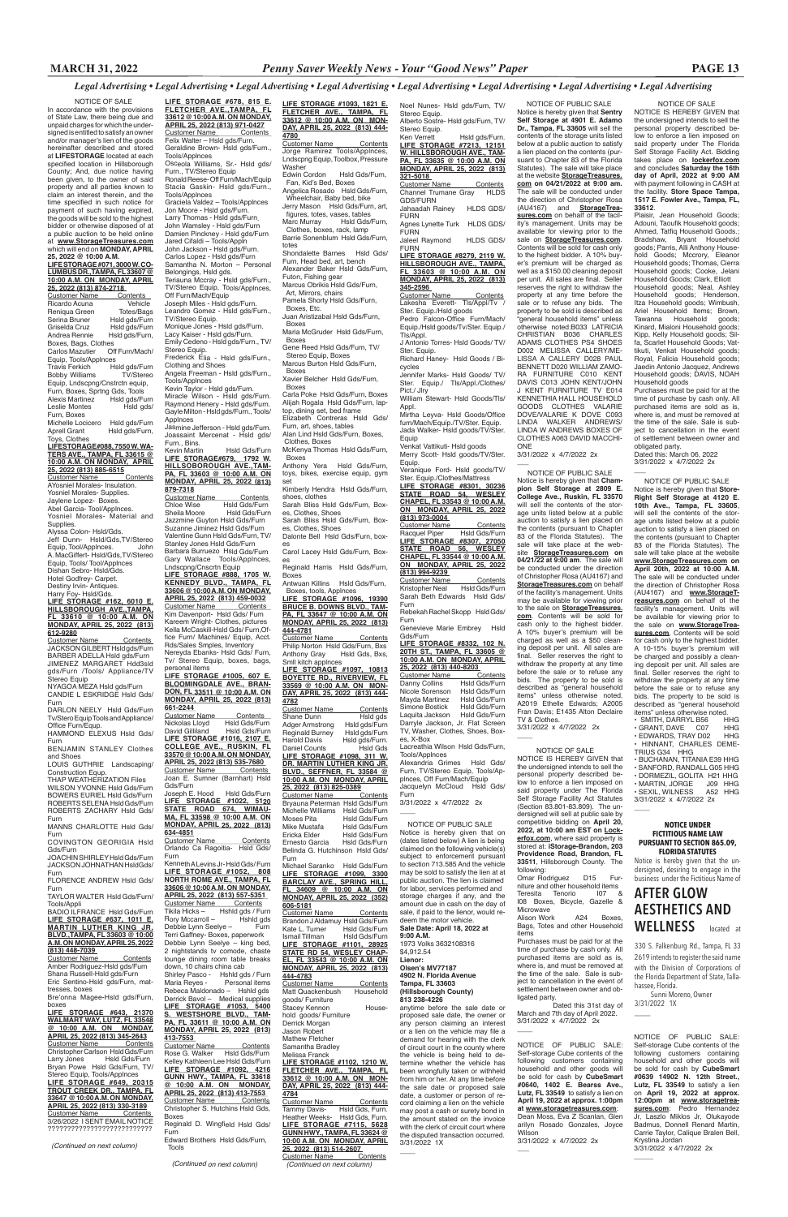**LIFE STORAGE #678, 815 E. FLETCHER AVE.,TAMPA, FL 33612 @ 10:00 A.M. ON MONDAY, APRIL 25, 2022 (813) 971-0427** Customer Name Contents<br>Felix Walter – Hsld gds/Furn. Geraldine Brown- Hsld gds/Furn., Tools/Applnces Osceola Williams, Sr.- Hsld gds/

Furn., TV/Stereo Equip Ronald Reese- Off Furn/Mach/Equip Stacia Gaskin- Hsld gds/Furn.,

Tools/Applnces Graciela Valdez – Tools/Applnces Jon Moore - Hsld gds/Furn. Larry Thomas - Hsld gds/Furn.

John Wamsley - Hsld gds/Furn Damien Pinckney - Hsld gds/Furn Jared Cifaldi – Tools/Appln

John Jackson - Hsld gds/Furn. Carlos Lopez - Hsld gds/Furn Samantha N. Morton – Personal

Belongings, Hsld gds. Teriauna Mccray - Hsld gds/Furn., TV/Stereo Equip, Tools/Applnces, Off Furn/Mach/Equip

Joseph Miles - Hsld gds/Furn. Leandro Gomez - Hsld gds/Furn.,

TV/Stereo Equip. Monique Jones - Hsld gds/Furn.

Lacy Kaiser - Hsld gds/Furn.

Emily Cedeno - Hsld gds/Furn., TV/ Stereo Equip. Frederick Elia - Hsld gds/Furn.,

Clothing and Shoes Angela Freeman - Hsld gds/Furn.,

Tools/Applnces Kevin Taylor - Hsld gds/Furn.

Miracle Wilson - Hsld gds/Furn. Raymond Henery - Hsld gds/Furn. Gayle Milton - Hsld gds/Furn., Tools/ Applnces

Joseph E. Hood Hsld Gds/Furn **LIFE STORAGE #1022, 5120 STATE ROAD 674, WIMAU-MA, FL 33598 @ 10:00 A.M. ON MONDAY, APRIL 25, 2022 (813) 634-4851**

Jasmine Jefferson - Hsld gds/Furn. Joassaint Mercenat - Hsld gds/ Furn., Bins.

Customer Name Contents Orlando Ca Ragoitia- Hsld Gds/ Furn

Kevin Martin Hsld Gds/Furn **LIFE STORAGE#679, 1792 W. HILLSOBOROUGH AVE.,TAM-PA, FL 33603 @ 10:00 A.M. ON MONDAY, APRIL 25, 2022 (813)** 

**879-7318** Customer Name Contents Chloe Wise Hsld Gds/Furn Sheila Moore Hsld Gds/Furn Jazzmine Guyton Hsld Gds/Furn Suzanne Jiminez Hsld Gds/Furn Valentine Gunn Hsld Gds/Furn, TV/ Stanley Jones Hsld Gds/Furn Barbara Burruezo Hsld Gds/Furn Gary Wallace Tools/Applnces, Lndscpng/Cnscrtn Equip **LIFE STORAGE #888, 1705 W. KENNEDY BLVD., TAMPA, FL 33606 @ 10:00 A.M. ON MONDAY, APRIL 25, 2022 (813) 459-0032** Customer Name Contents

Kim Davenport- Hsld Gds/ Furn Kareem Wright- Clothes, pictures Kella McCaskill-Hsld Gds/ Furn,Office Furn/ Machines/ Equip, Acct. Rds/Sales Smples, Inventory Nereyda Ebanks- Hsld Gds/ Furn,

Tv/ Stereo Equip, boxes, bags, personal items **LIFE STORAGE #1005, 607 E. BLOOMINGDALE AVE., BRAN-DON, FL 33511 @ 10:00 A.M. ON** 

**MONDAY, APRIL 25, 2022 (813) 661-2244 Customer Name** Contents<br>Nickolas Llovd Hsld Gds/Furn Nickolas Lloyd<br>David Gilliland Hsld Gds/Furn **LIFE STORAGE #1016, 2107 E. COLLEGE AVE., RUSKIN, FL 33570 @ 10:00 A.M. ON MONDAY, APRIL 25, 2022 (813) 535-7680**  Customer Name Contents Joan E. Sumner (Barnhart) Hsld Gds/Furn

Kenneth A Levins Jr- Hsld Gds/ Furn **LIFE STORAGE #1052, 808 NORTH ROME AVE., TAMPA, FL 33606 @ 10:00 A.M. ON MONDAY,** 

### BADIO ILFRANCE Hsld Gds/Furn **LIFE STORAGE #637, 1011 E. MARTIN LUTHER KING JR. BLVD.,TAMPA, FL 33603 @ 10:00 A.M. ON MONDAY, APRIL 25, 2022 (813) 448-7039**

**APRIL 25, 2022 (813) 557-5351**  Customer Name Contents Tikila Hicks – Hshld gds / Furn Rory Mccarroll – Hshld gds<br>Debbie Lynn Seelye – Furn Debbie Lynn Seelye – Terri Gaffney- Boxes, paperwork Debbie Lynn Seelye – king bed, 2 nightstands tv comode, chaste lounge dining room table breaks down, 10 chairs china cab Shirley Pasco - Hshld gds / Furn Maria Reyes - Personal items Rebeca Maldonado – Hshld gds Derrick Bavol – Medical supplies **LIFE STORAGE #1053, 5400 S. WESTSHORE BLVD., TAM-PA, FL 33611 @ 10:00 A.M. ON MONDAY, APRIL 25, 2022 (813) 413-7553**  Customer Name Contents<br>Rose G. Walker Hsld Gds/Furn Kelley Kathleen Lee Hsld Gds/Furn **LIFE STORAGE #1092, 4216 GUNN HWY., TAMPA, FL 33618 @ 10:00 A.M. ON MONDAY, APRIL 25, 2022 (813) 413-7553**  Customer Name Contents Christopher S. Hutchins Hsld Gds, Boxes Reginald D. Wingfield Hsld Gds/

Customer Name Contents Amber Rodriguez-Hsld gds/Furn Shana Russell-Hsld gds/Furn Eric Sentino-Hsld gds/Furn, mattresses, boxes Bre'onna Magee-Hsld gds/Furn, Noel Nunes- Hsld gds/Furn, TV/ Stereo Equip. Alberto Sostre- Hsld gds/Furn, TV/ Stereo Equip.<br>Ken Verrett

Ken Verrett Hsld gds/Furn.<br><mark>LIFE STORAGE #7213, 12151</mark> **W. HILLSBOROUGH AVE., TAM-PA, FL 33635 @ 10:00 A.M. ON MONDAY, APRIL 25, 2022 (813)** 

#### Furn Edward Brothers Hsld Gds/Furn, Tools

 *(Continued on next column)*

 NOTICE OF SALE In accordance with the provisions of State Law, there being due and unpaid charges for which the undersigned is entitled to satisfy an owner and/or manager's lien of the goods hereinafter described and stored at **LIFESTORAGE** located at each specified location in Hillsborough County; And, due notice having been given, to the owner of said property and all parties known to claim an interest therein, and the time specified in such notice for payment of such having expired, the goods will be sold to the highest bidder or otherwise disposed of at a public auction to be held online at **www.StorageTreasures.com**  which will end on **MONDAY, APRIL 25, 2022 @ 10:00 A.M.** 

> Customer Name Contents<br>Racquel Piper Hsld Gds/Furn Racquel Piper Hsld Gds/Furn **LIFE STORAGE #8307, 27050 STATE ROAD 56, WESLEY CHAPEL, FL 33544 @ 10:00 A.M. ON MONDAY, APRIL 25, 2022**

> **(813) 994-9239**  Customer Name Contents Kristopher Neal Hsld Gds/Furn<br>Sarah Beth Edwards Hsld Gds/ Sarah Beth Edwards

> **20TH ST., TAMPA, FL 33605 @ 10:00 A.M. ON MONDAY, APRIL 25, 2022 (813) 440-8203**  Customer Name<br>Danny Collins Danny Collins Hsld Gds/Furn<br>Nicole Sorenson Hsld Gds/Furn

### **LIFE STORAGE #071, 3000 W. CO-LUMBUS DR.,TAMPA, FL 33607 @ 10:00 A.M. ON MONDAY, APRIL 25, 2022 (813) 874-2718**

Customer Name Contents<br>Ricardo Acuna Vehicle Ricardo Acuna<br>
Reniqua Green<br>
Totes/Bags Reniqua Green Totes/Bags<br>Serina Bruner Hsld gds/Furn Serina Bruner<br>Griselda Cruz Griselda Cruz Hsld gds/Furn<br>Andrea Rennie Hsld gds/Furn. Hsld gds/Furn, Boxes, Bags, Clothes Off Furn/Mach/ Equip, Tools/Applnces<br>Travis Ferkich Hs Hsld gds/Furn<br>TV/Stereo Bobby Williams Equip, Lndscpng/Cnstrctn equip, Furn, Boxes, Sprtng Gds, Tools Hsld gds/Furn<br>Hsld gds/ Leslie Montes Furn, Boxes Michelle Locicero Hsld gds/Furn<br>Anrell Grant Hsld gds/Furn Hsld gds/Furn, Toys, Clothes **LIFESTORAGE#088, 7550 W. WA-TERS AVE., TAMPA, FL 33615 @ 10:00 A.M. ON MONDAY, APRIL 25, 2022 (813) 885-6515** Customer Name Contents<br>AYosniel Morales- Insulation. Yosniel Morales- Supplies. Jaylene Lopez- Boxes. Abel Garcia- Tool/Applnces. Yosniel Morales- Material and Supplies. Alyssa Colon- Hsld/Gds. Jeff Dunn- Hsld/Gds,TV/Stereo Equip, Tool/Applnces. John<br>A. MacGiffert- Hsld/Gds,TV/Stereo Equip, Tools/ Tool/Applnces Dishan Sebro- Hsld/Gds. Hotel Godfrey- Carpet. Destiny Irvin- Antiques. Harry Foy- Hsld/Gds. **LIFE STORAGE #162, 6010 E. HILLSBOROUGH AVE.,TAMPA, FL 33610 @ 10:00 A.M. ON MONDAY, APRIL 25, 2022 (813) 612-9280** Customer Name Contents JACKSON GILBERT Hsld gds/Furn BARBER ADELLA Hsld gds/Furn

> Hsld Gds/Furn<br>Hsld Gds/Furn Mayda Martinez Hsld Gds/Furn Simone Bostick Hsld Gds/Furn<br>Laquita Jackson Hsld Gds/Furn Laquita Jackson Darryle Jackson, Jr. Flat Screen TV, Washer, Clothes, Shoes, Box-

Customer Name Contents Jorge Ramirez Tools/Applnces, Lndscpng Equip, Toolbox, Pressure Washer<br>Edwin Cordon

Hsld Gds/Furn, Fan, Kid's Bed, Boxes Angelica Rosado Hsld Gds/Furn,

Customer Name Contents<br>Shane Dunn Hsld ads Shane Dunn Hsld gds<br>Adger Armstrong Hsld gds/Furn Adger Armstrong Hsld gds/Furn<br>Reginald Burney Hsld gds/Furn Reginald Burney Hsld gds/Furn<br>Harold Davis Hsld gds/Furn. Harold Davis Hsld gds/Furn.<br>Daniel Counts Hsld Gds Daniel Counts **LIFE STORAGE #1098, 311 W. DR. MARTIN LUTHER KING JR. BLVD., SEFFNER, FL 33584 @ 10:00 A.M. ON MONDAY, APRIL 25, 2022 (813) 825-0389**

<u>Customer Name Contents</u><br>Bryauna Peterman Hsld Gds/Furn Michelle Williams Hsld Gds/Furn<br>Moses Pita Hsld Gds/Furn Moses Pita Hsld Gds/Furn<br>Mike Mustafa Hsld Gds/Furn Mike Mustafa Hsld Gds/Furn<br>Ericka Elder Hsld Gds/Furn Hsld Gds/Furn<br>Hsld Gds/Furn Ernesto Garcia Belinda G. Hutchinson Hsld Gds/ Furn

Michael Saranko Hsld Gds/Furn **LIFE STORAGE #1099, 3300 BARCLAY AVE., SPRING HILL** 

JIMENEZ MARGARET Hdd3sld gds/Furn /Tools/ Appliance/TV Stereo Equip

NYAGOA MEZA Hsld gds/Furn CANDIE L ESKRIDGE Hsld Gds/ Furn DARLON NEELY Hsld Gds/Furn

Tv/Stero Equip Tools and Appliance/ Office Furn/Equp.

HAMMOND ELEXUS Hsld Gds/ Furn BENJAMIN STANLEY Clothes

and Shoes

LOUIS GUTHRIE Landscaping/ Construction Equp. THAP WEATHERIZATION Files

WILSON YVONNE Hsld Gds/Furn BOWERS EURIEL Hsld Gds/Furn ROBERTS SELENA Hsld Gds/Furn ROBERTS ZACHARY Hsld Gds/

> Customer Name Contents Brandon J Aldamuy Hsld Gds/Furn Kate L. Turner Hsld Gds/Furn<br>Ismail Tillman Hsld Gds/Furn Ismail Tillman Hsld Gds/Furn **LIFE STORAGE #1101, 28925 STATE RD 54, WESLEY CHAP-EL, FL 33543 @ 10:00 A.M. ON MONDAY, APRIL 25, 2022 (813) 444-4783 Customer Name** Contents<br>Matt Quackenbush Household Matt Quackenbush goods/ Furniture Stacey Kennon Household goods/ Furniture Derrick Morgan Jason Robert Mathew Fletcher Samantha Bradley Melissa Franck **LIFE STORAGE #1102, 1210 W. FLETCHER AVE., TAMPA, FL 33612 @ 10:00 A.M. ON MON-DAY, APRIL 25, 2022 (813) 444- 4784** Customer Name Contents Tammy Davis- Hsld Gds, Furn. Heather Weeks- Hsld Gds, Furn.

**LIFE STORAGE #7115, 5628 GUNN HWY., TAMPA, FL 33624 @ 10:00 A.M. ON MONDAY, APRIL 25, 2022 (813) 514-2607**   $\overline{\phantom{a}}$ 

Furn MANNS CHARLOTTE Hsld Gds/ Furn COVINGTON GEORIGIA Hsld

Gds/Furn

JOACHIN SHIRLEY Hsld Gds/Furn JACKSON JOHNATHAN HsldGds/ Furn

FLORENCE ANDREW Hsld Gds/ Furn

TAYLOR WALTER Hsld Gds/Furn/ Tools/Appli

Plaisir, Jean Household Goods; Adouni, Taoufik Household goods; Ahmed, Tatfiq Household Goods. Bradshaw, Bryant Household goods; Parris, Alli Anthony Household Goods; Mccrory, Eleanor Household goods; Thomas, Cierra Household goods; Cooke, Jelani Household Goods; Clark, Elliott Household goods; Neal, Ashley<br>Household goods; Henderson, goods; Henderson,

boxes **LIFE STORAGE #643, 21370 WALMART WAY, LUTZ, FL 33548 @ 10:00 A.M. ON MONDAY, APRIL 25, 2022 (813) 345-2643** <u>Customer Name Contents</u><br>Christopher Carlson Hsld Gds/Furn Larry Jones Hsld Gds/Furn Bryan Powe Hsld Gds/Furn, TV/ Stereo Equip, Tools/Applnces **LIFE STORAGE #649, 20315 TROUT CREEK DR., TAMPA, FL 33647 @ 10:00 A.M. ON MONDAY, APRIL 25, 2022 (813) 330-3189** Customer Name \_\_\_\_\_\_ Contents<br>3/26/2022 I SENT EMAIL NOTICE ???????????????????????????

*(Continued on next column)*

• BUCHANAN, TITANIA E39 HHG • SANFORD, RANDALL G05 HHG • DORMEZIL, GOLITA H21 HHG • MARTIN, JÓRGE J09 HHG<br>• SEXIL. WILNESS A52 HHG

**321-5018**  Customer Name Contents Channel Trumane Gray HLDS GDS/FURN Jahaadah Rainey HLDS GDS/

> $\cdot$  SEXIL, WILNESS 3/31/2022 x 4/7/2022 2x

 $\overline{\phantom{a}}$ 

FURN Agnes Lynette Turk HLDS GDS/ FURN

Jaleel Raymond HLDS GDS/ FURN

**LIFE STORAGE #8279, 2119 W. HILLSBOROUGH AVE., TAMPA, FL 33603 @ 10:00 A.M. ON MONDAY, APRIL 25, 2022 (813)** 

**345-2596**  Customer Name Contents Lakesha Everett- Tls/Appl/Tv / Ster. Equip./Hsld goods

Pedro Falcon-Office Furn/Mach/

Equip./Hsld goods/Tv/Ster. Equip./ Tls/Appl. J Antonio Torres- Hsld Goods/ TV/

Ster. Equip. Richard Haney- Hsld Goods / Bi-

cycles Jennifer Marks- Hsld Goods/ TV/

Ster. Equip./ Tls/Appl./Clothes/ Pict./ Jlry William Stewart- Hsld Goods/Tls/

Appl. Mirtha Leyva- Hsld Goods/Office furn/Mach/Equip./TV/Ster. Equip.

Jada Walker- Hsld goods/TV/Ster. Equip Venkat Vattikuti- Hsld goods

Merry Scott- Hsld goods/TV/Ster. Equip.

Veranique Ford- Hsld goods/TV/ Ster. Equip./Clothes/Mattress

**LIFE STORAGE #8301, 30236 STATE ROAD 54, WESLEY CHAPEL, FL 33543 @ 10:00 A.M. ON MONDAY, APRIL 25, 2022 (813) 973-0004** 

Furn Rebekah Rachel Skopp Hsld Gds/

Furn Genevieve Marie Embrey Hsld

Gds/Furn **LIFE STORAGE #8332, 102 N.** 

es, X-Box Lacreathia Wilson Hsld Gds/Furn, Tools/Applnces Alexandria Grimes Hsld Gds/

Furn, TV/Stereo Equip, Tools/Applnces, Off Furn/Mach/Equip Jacquelyn McCloud Hsld Gds/

Furn 3/31/2022 x 4/7/2022 2x

 $\overline{\phantom{a}}$ 

**LIFE STORAGE #1093, 1821 E. FLETCHER AVE., TAMPA, FL 33612 @ 10:00 A.M. ON MON-DAY, APRIL 25, 2022 (813) 444- 4780** 

> storage charges if any, and the amount due in cash on the day of sale, if paid to the lienor, would redeem the motor vehicle. **Sale Date: April 18, 2022 at 9:00 A.M.** 1973 Volks 3632108316

 Wheelchair, Baby bed, bike Jerry Mason Hsld Gds/Furn, art,

 figures, totes, vases, tables Hsld Gds/Furn, Clothes, boxes, rack, lamp

Barrie Sonenblum Hsld Gds/Furn, totes

Shondalette Barnes Hsld Gds/ Furn, Head bed, art, bench Alexander Baker Hsld Gds/Furn,

Futon, Fishing gear Marcus Obrikis Hsld Gds/Furn,

 Art, Mirrors, chairs Pamela Shorty Hsld Gds/Furn,

 Boxes, Etc. Juan Aristizabal Hsld Gds/Furn,

Boxes

Maria McGruder Hsld Gds/Furn, Boxes

> Self-storage Cube contents of the following customers containing household and other goods will be sold for cash by **CubeSmart #0640, 1402 E. Bearss Ave., Lutz, FL 33549** to satisfy a lien on **April 19, 2022 at approx. 1:00pm at www.storagetreasures.com**: Dean Moss, Eya Z Scanlan, Glen

Gene Reed Hsld Gds/Furn, TV/ Stereo Equip, Boxes

Marcus Burton Hsld Gds/Furn, Boxes

Xavier Belcher Hsld Gds/Furn, Boxes

Carla Poke Hsld Gds/Furn, Boxes Alijah Rogala Hsld Gds/Furn, laptop, dining set, bed frame

> NOTICE OF PUBLIC SALE: Self-storage Cube contents of the following customers containing household and other goods will be sold for cash by **CubeSmart #0639 14902 N. 12th Street., Lutz, FL 33549** to satisfy a lien on **April 19, 2022 at approx. 12:00pm at www.storagetreasures.com**: Pedro Hernandez Jr, Laszlo Miklos Jr, Olukayode Badmus, Donnell Renard Martin, Carrie Taylor, Calique Bralen Bell, Krystina Jordan 3/31/2022 x 4/7/2022 2x  $\overline{\phantom{a}}$

Elizabeth Contreras Hsld Gds/ Furn, art, shoes, tables

Alan Lind Hsld Gds/Furn, Boxes, Clothes, Boxes

McKenya Thomas Hsld Gds/Furn, Boxes

Anthony Yera Hsld Gds/Furn, toys, bikes, exercise equip, gym set

Kimberly Hendra Hsld Gds/Furn,

shoes, clothes Sarah Bliss Hsld Gds/Furn, Boxes, Clothes, Shoes

Sarah Bliss Hsld Gds/Furn, Boxes, Clothes, Shoes

Dalonte Bell Hsld Gds/Furn, boxes Carol Lacey Hsld Gds/Furn, Box-

es Reginald Harris Hsld Gds/Furn,

Boxes

Antwuan Killins Hsld Gds/Furn, Boxes, tools, Applnces

**LIFE STORAGE #1096, 19390 BRUCE B. DOWNS BLVD., TAM-PA, FL 33647 @ 10:00 A.M. ON MONDAY, APRIL 25, 2022 (813) 444-4781**

Customer Name Contents Philip Norton Hsld Gds/Furn, Bxs Anthony Gray Hsld Gds, Bxs, Smll kitch applnces

**LIFE STORAGE #1097, 10813 BOYETTE RD., RIVERVIEW, FL 33569 @ 10:00 A.M. ON MON-DAY, APRIL 25, 2022 (813) 444- 4782**

### **FL 34609 @ 10:00 A.M. ON MONDAY, APRIL 25, 2022 (352) 606-5181**

Customer Name Contents *(Continued on next column)*

NOTICE OF SALE NOTICE IS HEREBY GIVEN that the undersigned intends to sell the personal property described below to enforce a lien imposed on said property under The Florida Self Storage Facility Act. Bidding takes place on **lockerfox.com** and concludes **Saturday the 16th day of April, 2022 at 9:00 AM**  with payment following in CASH at the facility. **Store Space Tampa, 1517 E. Fowler Ave., Tampa, FL,** 

**33612**.

Itza Household goods; Wimbush, Ariel Household Items; Brown,<br>Tawanna Household goods: Tawanna Household Kinard, Mialoni Household goods; Kipp, Kelly Household goods; Silfa, Scarlet Household Goods; Vattikuti, Venkat Household goods; Royal, Falicia Household goods; Jaedin Antonio Jacquez, Andrews Household goods; DAVIS, NOAH

Household goods

Purchases must be paid for at the time of purchase by cash only. All purchased items are sold as is, where is, and must be removed at the time of the sale. Sale is subject to cancellation in the event of settlement between owner and

obligated party. Dated this: March 06, 2022 3/31/2022 x 4/7/2022 2x

\_\_\_

NOTICE OF PUBLIC SALE Notice is hereby given that **Store-Right Self Storage at 4120 E. 10th Ave., Tampa, FL 33605**, will sell the contents of the storage units listed below at a public auction to satisfy a lien placed on the contents (pursuant to Chapter 83 of the Florida Statutes). The sale will take place at the website **www.StorageTreasures.com on April 20th, 2022 at 10:00 A.M.** The sale will be conducted under the direction of Christopher Rosa (AU4167) and **www.StorageTreasures.com** on behalf of the facility's management. Units will be available for viewing prior to the sale on **www.StorageTreasures.com**. Contents will be sold for cash only to the highest bidder. A 10-15% buyer's premium will be charged and possibly a cleaning deposit per unit. All sales are final. Seller reserves the right to withdraw the property at any time before the sale or to refuse any bids. The property to be sold is described as "general household items" unless otherwise noted.<br>• SMITH DARRYL B56 HHG • SMITH, DARRYL B56 HHG • GRANT, DAVE C07 HHG  $\cdot$  EDWARDS, TRAY D02 • HINNANT, CHARLES DEME-

TRIUS G34 HHG

 NOTICE OF PUBLIC SALE Notice is hereby given that **Sentry Self Storage at 4901 E. Adamo Dr., Tampa, FL 33605** will sell the contents of the storage units listed below at a public auction to satisfy a lien placed on the contents (pursuant to Chapter 83 of the Florida Statutes). The sale will take place at the website **StorageTreasures. com on 04/21/2022 at 9:00 am.**  The sale will be conducted under the direction of Christopher Rosa (AU4167) and **StorageTreasures.com** on behalf of the facility's management. Units may be available for viewing prior to the sale on **StorageTreasures.com**. Contents will be sold for cash only to the highest bidder. A 10% buy er's premium will be charged as well as a \$150.00 cleaning deposit per unit. All sales are final. Seller reserves the right to withdraw the property at any time before the sale or to refuse any bids. The property to be sold is described as "general household items" unless otherwise noted:B033 LATRICIA CHRISTIAN B036 CHARLES ADAMS CLOTHES PS4 SHOES D002 MELISSA CALLERY/ME-LISSA A CALLERY D028 PAUL BENNETT D020 WILLIAM ZAMO-RA FURNITURE C010 KENT DAVIS C013 JOHN KENT/JOHN J KENT FURNITURE TV E014 KENNETHIA HALL HOUSEHOLD GOODS CLOTHES VALARIE DOVE/VALARIE K DOVE C093 LINDA WALKER ANDREWS/ LINDA W ANDREWS BOXES OF CLOTHES A063 DAVID MACCHI-

ONE

 $\overline{\phantom{a}}$ 

3/31/2022 x 4/7/2022 2x

NOTICE OF PUBLIC SALE Notice is hereby given that **Champion Self Storage at 2809 E. College Ave., Ruskin, FL 33570** will sell the contents of the storage units listed below at a public auction to satisfy a lien placed on the contents (pursuant to Chapter 83 of the Florida Statutes). The sale will take place at the website **StorageTreasures.com on 04/21/22 at 9:00 am**. The sale will be conducted under the direction of Christopher Rosa (AU4167) and **StorageTreasures.com** on behalf of the facility's management. Units may be available for viewing prior to the sale on **StorageTreasures. com**. Contents will be sold for cash only to the highest bidder. A 10% buyer's premium will be charged as well as a \$50 cleaning deposit per unit. All sales are final. Seller reserves the right to withdraw the property at any time before the sale or to refuse any bids. The property to be sold is described as "general household items" unless otherwise noted. A2019 Ethelle Edwards; A2005 Fran Davis; E1435 Alton Declaire

TV & Clothes.

 $\overline{\phantom{a}}$ 

3/31/2022 x 4/7/2022 2x

 NOTICE OF SALE NOTICE IS HEREBY GIVEN that the undersigned intends to sell the personal property described below to enforce a lien imposed on said property under The Florida Self Storage Facility Act Statutes (Section 83.801-83.809). The undersigned will sell at public sale by competitive bidding on **April 20, 2022, at 10:00 am EST on Lockerfox.com**, where said property is stored at: **iStorage-Brandon, 203 Providence Road, Brandon, FL 33511**, Hillsborough County. The

following:

 $\overline{\phantom{a}}$ 

 $\overline{\phantom{a}}$ 

Omar Rodriguez D15 Furniture and other household items

Teresita Tenorio I07 & I08 Boxes, Bicycle, Gazelle & Microwave

Alison Work A24 Boxes, Bags, Totes and other Household items

Purchases must be paid for at the time of purchase by cash only. All purchased items are sold as is, where is, and must be removed at the time of the sale. Sale is subject to cancellation in the event of settlement between owner and obligated party.

Dated this 31st day of March and 7th day of April 2022. 3/31/2022 x 4/7/2022 2x

 NOTICE OF PUBLIC SALE Notice is hereby given that on (dates listed below) A lien is being claimed on the following vehicle(s) subject to enforcement pursuant to section 713.585 And the vehicle may be sold to satisfy the lien at at public auction. The lien is claimed for labor, services performed and

\$4,912.54 **Lienor: Olsen's MV77187 4902 N. Florida Avenue Tampa, FL 33603 (Hillsborough County) 813 238-4226**

anytime before the sale date or proposed sale date, the owner or any person claiming an interest or a lien on the vehicle may file a demand for hearing with the clerk of circuit court in the county where the vehicle is being held to determine whether the vehicle has been wrongfully taken or withheld from him or her. At any time before the sale date or proposed sale date, a customer or person of record claiming a lien on the vehicle may post a cash or surety bond in the amount stated on the invoice with the clerk of circuit court where the disputed transaction occurred. 3/31/2022 1X

**NOTICE UNDER FICTITIOUS NAME LAW PURSUANT TO SECTION 865.09, FLORIDA STATUTES** Notice is hereby given that the undersigned, desiring to engage in the business under the Fictitious Name of

# **AFTER GLOW AESTHETICS AND WELLNESS** located at

330 S. Falkenburg Rd., Tampa, FL 33 2619 intends to register the said name with the Division of Corporations of the Florida Department of State, Tallahassee, Florida.

 Sunni Moreno, Owner 3/31/2022 1X

 $\overline{\phantom{a}}$ 

NOTICE OF PUBLIC SALE:

arilyn Rosado Gonzales, Joyce Wilson

3/31/2022 x 4/7/2022 2x